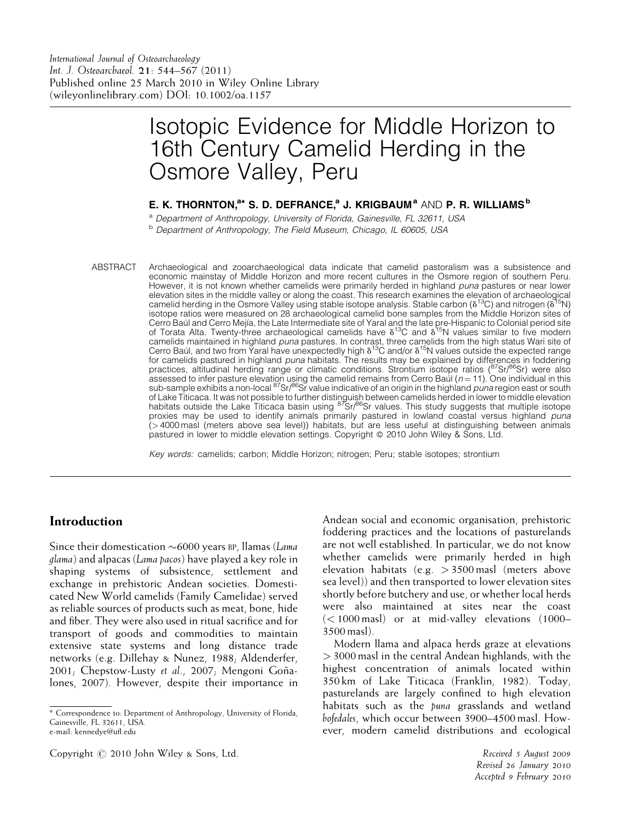# Isotopic Evidence for Middle Horizon to 16th Century Camelid Herding in the Osmore Valley, Peru

# E. K. THORNTON,<sup>a\*</sup> S. D. DEFRANCE,<sup>a</sup> J. KRIGBAUM<sup>a</sup> and p. R. Williams<sup>b</sup>

<sup>a</sup> Department of Anthropology, University of Florida, Gainesville, FL 32611, USA

b Department of Anthropology, The Field Museum, Chicago, IL 60605, USA

ABSTRACT Archaeological and zooarchaeological data indicate that camelid pastoralism was a subsistence and economic mainstay of Middle Horizon and more recent cultures in the Osmore region of southern Peru. However, it is not known whether camelids were primarily herded in highland puna pastures or near lower elevation sites in the middle valley or along the coast. This research examines the elevation of archaeological<br>camelid herding in the Osmore Valley using stable isotope analysis. Stable carbon (8<sup>13</sup>C) and nitrogen (8<sup>15</sup> isotope ratios were measured on 28 archaeological camelid bone samples from the Middle Horizon sites of Cerro Baúl and Cerro Mejía, the Late Intermediate site of Yaral and the late pre-Hispanic to Colonial period site<br>of Torata Alta. Twenty-three archaeological camelids have 8<sup>13</sup>C and 8<sup>15</sup>N values similar to five modern camelids maintained in highland puna pastures. In contrast, three camelids from the high status Wari site of Cerro Bau, and two from Yaral have unexpectedly high  $\delta^{13}$ C and/or  $\delta^{15}$ N values outside the expected range for camelids pastured in highland *puna* habitats. The results may be explained by differences in foddering practices, altitudinal herding range or climatic conditions. Strontium isotope ratios (<sup>87</sup>Sr/<sup>86</sup>Sr) were also assessed to infer pasture elevation using the camelid remains from Cerro Baúl (*n* = 11). One individual in this<br>sub-sample exhibits a non-local <sup>87</sup>Sr/<sup>86</sup>Sr value indicative of an origin in the highland *puna* region eas of Lake Titicaca. It was not possible to further distinguish between camelids herded in lower to middle elevation habitats outside the Lake Titicaca basin using <sup>87</sup>Sr/<sup>86</sup>Sr values. This study suggests that multiple isotope proxies may be used to identify animals primarily pastured in lowland coastal versus highland puna (> 4000 masl (meters above sea level)) habitats, but are less useful at distinguishing between animals pastured in lower to middle elevation settings. Copyright  $\odot$  2010 John Wiley & Sons, Ltd.

Key words: camelids; carbon; Middle Horizon; nitrogen; Peru; stable isotopes; strontium

# Introduction

Since their domestication  $\sim$  6000 years BP, llamas (Lama glama) and alpacas (Lama pacos) have played a key role in shaping systems of subsistence, settlement and exchange in prehistoric Andean societies. Domesticated New World camelids (Family Camelidae) served as reliable sources of products such as meat, bone, hide and fiber. They were also used in ritual sacrifice and for transport of goods and commodities to maintain extensive state systems and long distance trade networks (e.g. Dillehay & Nunez, 1988; Aldenderfer, 2001; Chepstow-Lusty et al., 2007; Mengoni Goñalones, 2007). However, despite their importance in

Copyright  $\odot$  2010 John Wiley & Sons, Ltd.  $\qquad \qquad$  Received 5 August 2009

Andean social and economic organisation, prehistoric foddering practices and the locations of pasturelands are not well established. In particular, we do not know whether camelids were primarily herded in high elevation habitats (e.g.  $>$  3500 masl (meters above sea level)) and then transported to lower elevation sites shortly before butchery and use, or whether local herds were also maintained at sites near the coast  $(< 1000 \text{ mas}$ ) or at mid-valley elevations  $(1000 -$ 3500 masl).

Modern llama and alpaca herds graze at elevations > 3000 masl in the central Andean highlands, with the highest concentration of animals located within 350 km of Lake Titicaca (Franklin, 1982). Today, pasturelands are largely confined to high elevation habitats such as the puna grasslands and wetland bofedales, which occur between 3900–4500 masl. However, modern camelid distributions and ecological

<sup>\*</sup> Correspondence to: Department of Anthropology, University of Florida, Gainesville, FL 32611, USA. e-mail: kennedye@ufl.edu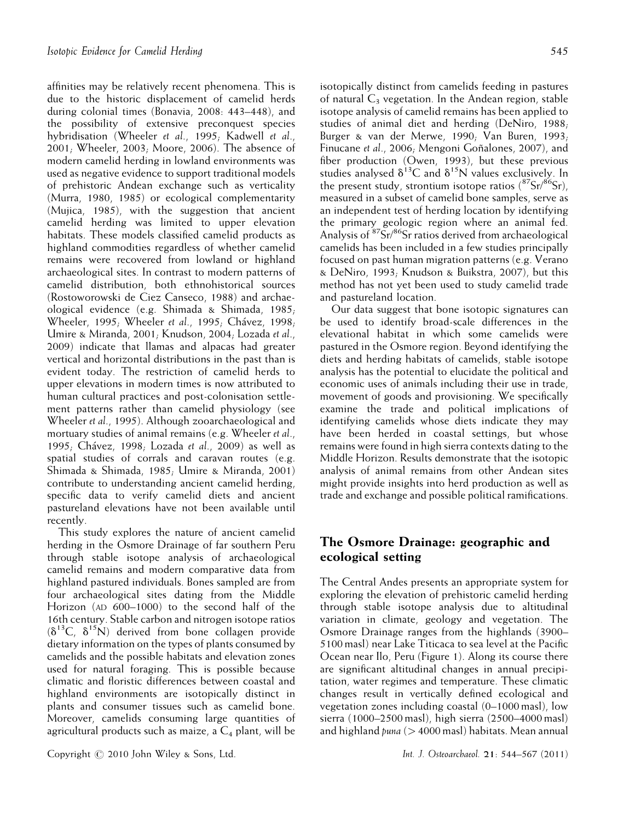affinities may be relatively recent phenomena. This is due to the historic displacement of camelid herds during colonial times (Bonavia, 2008: 443–448), and the possibility of extensive preconquest species hybridisation (Wheeler et al., 1995; Kadwell et al., 2001; Wheeler, 2003; Moore, 2006). The absence of modern camelid herding in lowland environments was used as negative evidence to support traditional models of prehistoric Andean exchange such as verticality (Murra, 1980, 1985) or ecological complementarity (Mujica, 1985), with the suggestion that ancient camelid herding was limited to upper elevation habitats. These models classified camelid products as highland commodities regardless of whether camelid remains were recovered from lowland or highland archaeological sites. In contrast to modern patterns of camelid distribution, both ethnohistorical sources (Rostoworowski de Ciez Canseco, 1988) and archaeological evidence (e.g. Shimada & Shimada, 1985; Wheeler, 1995; Wheeler et al., 1995; Chávez, 1998; Umire & Miranda, 2001; Knudson, 2004; Lozada et al., 2009) indicate that llamas and alpacas had greater vertical and horizontal distributions in the past than is evident today. The restriction of camelid herds to upper elevations in modern times is now attributed to human cultural practices and post-colonisation settlement patterns rather than camelid physiology (see Wheeler et al., 1995). Although zooarchaeological and mortuary studies of animal remains (e.g. Wheeler et al., 1995; Chávez, 1998; Lozada et al., 2009) as well as spatial studies of corrals and caravan routes (e.g. Shimada & Shimada, 1985; Umire & Miranda, 2001) contribute to understanding ancient camelid herding, specific data to verify camelid diets and ancient pastureland elevations have not been available until recently.

This study explores the nature of ancient camelid herding in the Osmore Drainage of far southern Peru through stable isotope analysis of archaeological camelid remains and modern comparative data from highland pastured individuals. Bones sampled are from four archaeological sites dating from the Middle Horizon (AD 600–1000) to the second half of the 16th century. Stable carbon and nitrogen isotope ratios  $(\delta^{13}C, \delta^{15}N)$  derived from bone collagen provide dietary information on the types of plants consumed by camelids and the possible habitats and elevation zones used for natural foraging. This is possible because climatic and floristic differences between coastal and highland environments are isotopically distinct in plants and consumer tissues such as camelid bone. Moreover, camelids consuming large quantities of agricultural products such as maize, a  $C_4$  plant, will be

isotopically distinct from camelids feeding in pastures of natural  $C_3$  vegetation. In the Andean region, stable isotope analysis of camelid remains has been applied to studies of animal diet and herding (DeNiro, 1988; Burger & van der Merwe, 1990; Van Buren, 1993; Finucane et al., 2006; Mengoni Goñalones, 2007), and fiber production (Owen, 1993), but these previous studies analysed  $\delta^{13}$ C and  $\delta^{15}$ N values exclusively. In the present study, strontium isotope ratios  $(^{87}Sr)^{86}Sr$ ). measured in a subset of camelid bone samples, serve as an independent test of herding location by identifying the primary geologic region where an animal fed. Analysis of <sup>87</sup>Sr/<sup>86</sup>Sr ratios derived from archaeological camelids has been included in a few studies principally focused on past human migration patterns (e.g. Verano & DeNiro, 1993; Knudson & Buikstra, 2007), but this method has not yet been used to study camelid trade and pastureland location.

Our data suggest that bone isotopic signatures can be used to identify broad-scale differences in the elevational habitat in which some camelids were pastured in the Osmore region. Beyond identifying the diets and herding habitats of camelids, stable isotope analysis has the potential to elucidate the political and economic uses of animals including their use in trade, movement of goods and provisioning. We specifically examine the trade and political implications of identifying camelids whose diets indicate they may have been herded in coastal settings, but whose remains were found in high sierra contexts dating to the Middle Horizon. Results demonstrate that the isotopic analysis of animal remains from other Andean sites might provide insights into herd production as well as trade and exchange and possible political ramifications.

# The Osmore Drainage: geographic and ecological setting

The Central Andes presents an appropriate system for exploring the elevation of prehistoric camelid herding through stable isotope analysis due to altitudinal variation in climate, geology and vegetation. The Osmore Drainage ranges from the highlands (3900– 5100 masl) near Lake Titicaca to sea level at the Pacific Ocean near Ilo, Peru (Figure 1). Along its course there are significant altitudinal changes in annual precipitation, water regimes and temperature. These climatic changes result in vertically defined ecological and vegetation zones including coastal (0–1000 masl), low sierra (1000–2500 masl), high sierra (2500–4000 masl) and highland  $p$ una ( $>$  4000 masl) habitats. Mean annual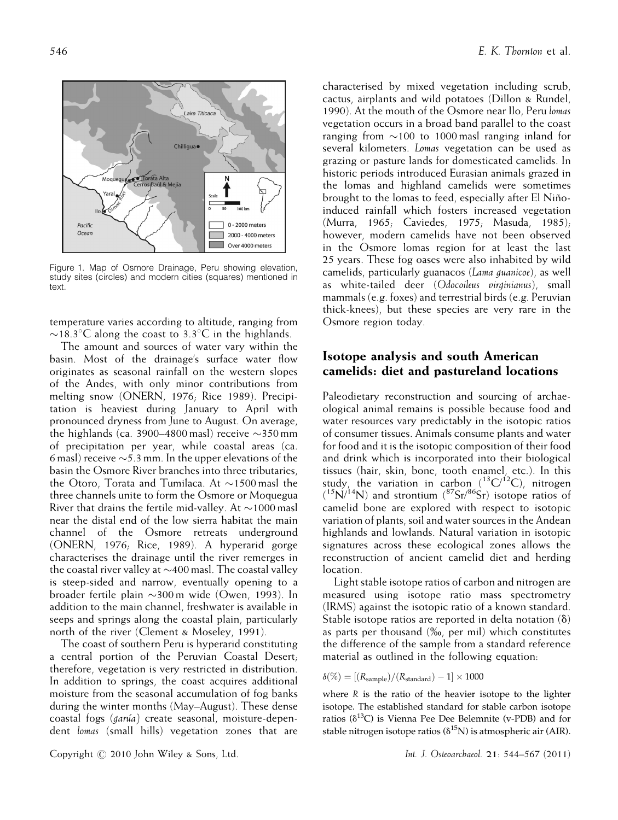

Figure 1. Map of Osmore Drainage, Peru showing elevation, study sites (circles) and modern cities (squares) mentioned in text

temperature varies according to altitude, ranging from  $\sim$ 18.3°C along the coast to 3.3°C in the highlands.

The amount and sources of water vary within the basin. Most of the drainage's surface water flow originates as seasonal rainfall on the western slopes of the Andes, with only minor contributions from melting snow (ONERN, 1976; Rice 1989). Precipitation is heaviest during January to April with pronounced dryness from June to August. On average, the highlands (ca. 3900–4800 masl) receive  $\sim$ 350 mm of precipitation per year, while coastal areas (ca. 6 masl) receive  $\sim$  5.3 mm. In the upper elevations of the basin the Osmore River branches into three tributaries, the Otoro, Torata and Tumilaca. At  $\sim$ 1500 masl the three channels unite to form the Osmore or Moquegua River that drains the fertile mid-valley. At  $\sim$ 1000 masl near the distal end of the low sierra habitat the main channel of the Osmore retreats underground (ONERN, 1976; Rice, 1989). A hyperarid gorge characterises the drainage until the river remerges in the coastal river valley at  $\sim$ 400 masl. The coastal valley is steep-sided and narrow, eventually opening to a broader fertile plain  $\sim$ 300 m wide (Owen, 1993). In addition to the main channel, freshwater is available in seeps and springs along the coastal plain, particularly north of the river (Clement & Moseley, 1991).

The coast of southern Peru is hyperarid constituting a central portion of the Peruvian Coastal Desert; therefore, vegetation is very restricted in distribution. In addition to springs, the coast acquires additional moisture from the seasonal accumulation of fog banks during the winter months (May–August). These dense coastal fogs (garua) create seasonal, moisture-dependent lomas (small hills) vegetation zones that are

546 E. K. Thornton et al.

characterised by mixed vegetation including scrub, cactus, airplants and wild potatoes (Dillon & Rundel, 1990). At the mouth of the Osmore near Ilo, Peru lomas vegetation occurs in a broad band parallel to the coast ranging from  $\sim$ 100 to 1000 masl ranging inland for several kilometers. Lomas vegetation can be used as grazing or pasture lands for domesticated camelids. In historic periods introduced Eurasian animals grazed in the lomas and highland camelids were sometimes brought to the lomas to feed, especially after El Niñoinduced rainfall which fosters increased vegetation (Murra, 1965; Caviedes, 1975; Masuda, 1985); however, modern camelids have not been observed in the Osmore lomas region for at least the last 25 years. These fog oases were also inhabited by wild camelids, particularly guanacos (Lama guanicoe), as well as white-tailed deer (Odocoileus virginianus), small mammals (e.g. foxes) and terrestrial birds (e.g. Peruvian thick-knees), but these species are very rare in the Osmore region today.

# Isotope analysis and south American camelids: diet and pastureland locations

Paleodietary reconstruction and sourcing of archaeological animal remains is possible because food and water resources vary predictably in the isotopic ratios of consumer tissues. Animals consume plants and water for food and it is the isotopic composition of their food and drink which is incorporated into their biological tissues (hair, skin, bone, tooth enamel, etc.). In this study, the variation in carbon  $(^{13}C/^{12}C)$ , nitrogen  $(15N)^{14}N$ ) and strontium  $(87Sr)^{86}Sr$ ) isotope ratios of camelid bone are explored with respect to isotopic variation of plants, soil and water sources in the Andean highlands and lowlands. Natural variation in isotopic signatures across these ecological zones allows the reconstruction of ancient camelid diet and herding location.

Light stable isotope ratios of carbon and nitrogen are measured using isotope ratio mass spectrometry (IRMS) against the isotopic ratio of a known standard. Stable isotope ratios are reported in delta notation  $(\delta)$ as parts per thousand (‰, per mil) which constitutes the difference of the sample from a standard reference material as outlined in the following equation:

 $\delta (\%)= [ (R_{\rm sample})/(R_{\rm standard}) -1] \times 1000$ 

where R is the ratio of the heavier isotope to the lighter isotope. The established standard for stable carbon isotope ratios ( $\delta^{13}$ C) is Vienna Pee Dee Belemnite (v-PDB) and for stable nitrogen isotope ratios ( $\delta^{15}$ N) is atmospheric air (AIR).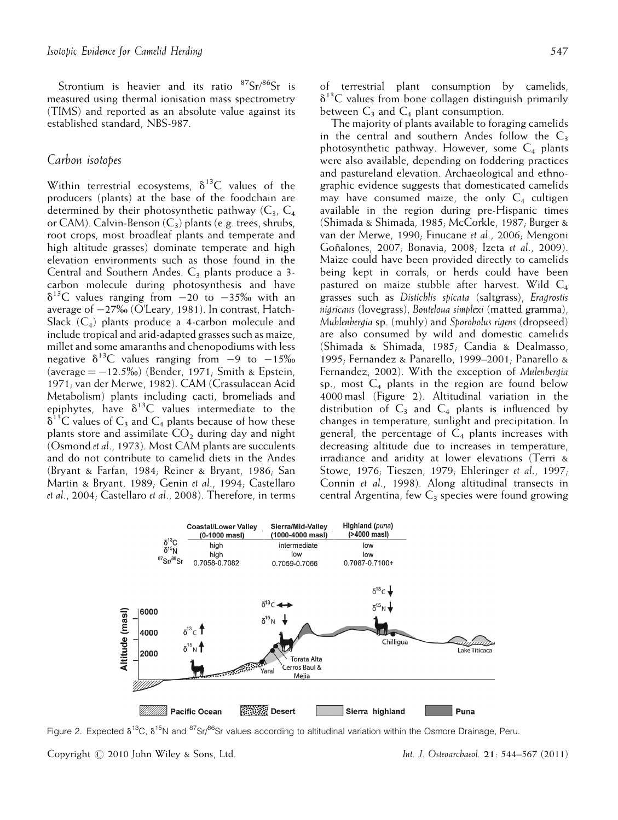Strontium is heavier and its ratio  $87Sr/86Sr$  is measured using thermal ionisation mass spectrometry (TIMS) and reported as an absolute value against its established standard, NBS-987.

### Carbon isotopes

Within terrestrial ecosystems,  $\delta^{13}$ C values of the producers (plants) at the base of the foodchain are determined by their photosynthetic pathway  $(C_3, C_4)$ or CAM). Calvin-Benson  $(C_3)$  plants (e.g. trees, shrubs, root crops, most broadleaf plants and temperate and high altitude grasses) dominate temperate and high elevation environments such as those found in the Central and Southern Andes.  $C_3$  plants produce a 3carbon molecule during photosynthesis and have  $\delta^{13}$ C values ranging from -20 to -35% with an average of  $-27\%$  (O'Leary, 1981). In contrast, Hatch-Slack  $(C_4)$  plants produce a 4-carbon molecule and include tropical and arid-adapted grasses such as maize, millet and some amaranths and chenopodiums with less negative  $\delta^{13}$ C values ranging from -9 to -15‰  $(average = -12.5\%)$  (Bender, 1971; Smith & Epstein, 1971; van der Merwe, 1982). CAM (Crassulacean Acid Metabolism) plants including cacti, bromeliads and epiphytes, have  $\delta^{13}$ C values intermediate to the  $\delta^{13}$ C values of C<sub>3</sub> and C<sub>4</sub> plants because of how these plants store and assimilate  $CO<sub>2</sub>$  during day and night (Osmond et al., 1973). Most CAM plants are succulents and do not contribute to camelid diets in the Andes (Bryant & Farfan, 1984; Reiner & Bryant, 1986; San Martin & Bryant, 1989; Genin et al., 1994; Castellaro et al., 2004; Castellaro et al., 2008). Therefore, in terms of terrestrial plant consumption by camelids,  $\delta^{13}$ C values from bone collagen distinguish primarily between  $C_3$  and  $C_4$  plant consumption.

The majority of plants available to foraging camelids in the central and southern Andes follow the  $C_3$ photosynthetic pathway. However, some  $C_4$  plants were also available, depending on foddering practices and pastureland elevation. Archaeological and ethnographic evidence suggests that domesticated camelids may have consumed maize, the only  $C_4$  cultigen available in the region during pre-Hispanic times (Shimada & Shimada, 1985; McCorkle, 1987; Burger & van der Merwe, 1990; Finucane et al., 2006; Mengoni Goñalones, 2007; Bonavia, 2008; Izeta et al., 2009). Maize could have been provided directly to camelids being kept in corrals, or herds could have been pastured on maize stubble after harvest. Wild  $C_4$ grasses such as Distichlis spicata (saltgrass), Eragrostis nigricans (lovegrass), Bouteloua simplexi (matted gramma), Muhlenbergia sp. (muhly) and Sporobolus rigens (dropseed) are also consumed by wild and domestic camelids (Shimada & Shimada, 1985; Candia & Dealmasso, 1995; Fernandez & Panarello, 1999–2001; Panarello & Fernandez, 2002). With the exception of Mulenbergia sp., most  $C_4$  plants in the region are found below 4000 masl (Figure 2). Altitudinal variation in the distribution of  $C_3$  and  $C_4$  plants is influenced by changes in temperature, sunlight and precipitation. In general, the percentage of  $C_4$  plants increases with decreasing altitude due to increases in temperature, irradiance and aridity at lower elevations (Terri & Stowe, 1976; Tieszen, 1979; Ehleringer et al., 1997; Connin et al., 1998). Along altitudinal transects in central Argentina, few  $C_3$  species were found growing



Figure 2. Expected  $\delta^{13}C$ ,  $\delta^{15}N$  and  $87$ Sr/ $86$ Sr values according to altitudinal variation within the Osmore Drainage, Peru.

Copyright  $\odot$  2010 John Wiley & Sons, Ltd. Int. J. Osteoarchaeol. 21: 544–567 (2011)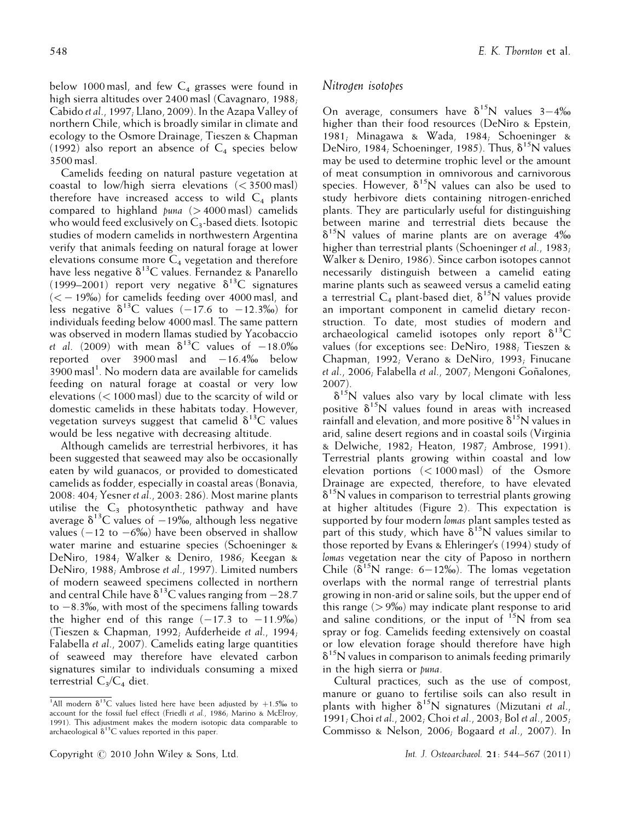below 1000 masl, and few  $C_4$  grasses were found in high sierra altitudes over 2400 masl (Cavagnaro, 1988; Cabido et al., 1997; Llano, 2009). In the Azapa Valley of northern Chile, which is broadly similar in climate and ecology to the Osmore Drainage, Tieszen & Chapman (1992) also report an absence of  $C_4$  species below 3500 masl.

Camelids feeding on natural pasture vegetation at coastal to low/high sierra elevations (< 3500 masl) therefore have increased access to wild  $C_4$  plants compared to highland puna  $(> 4000 \text{ mas})$  camelids who would feed exclusively on  $C_3$ -based diets. Isotopic studies of modern camelids in northwestern Argentina verify that animals feeding on natural forage at lower elevations consume more  $C_4$  vegetation and therefore have less negative  $\delta^{13}$ C values. Fernandez & Panarello  $(1999-2001)$  report very negative  $\delta^{13}$ C signatures  $(< -19\%)$  for camelids feeding over 4000 masl, and less negative  $\delta^{13}$ C values (-17.6 to -12.3%o) for individuals feeding below 4000 masl. The same pattern was observed in modern llamas studied by Yacobaccio et al. (2009) with mean  $\delta^{13}$ C values of -18.0‰ reported over  $3900 \text{ masl}$  and  $-16.4\%$  below 3900 masl<sup>1</sup>. No modern data are available for camelids feeding on natural forage at coastal or very low elevations (< 1000 masl) due to the scarcity of wild or domestic camelids in these habitats today. However, vegetation surveys suggest that camelid  $\delta^{13}$ C values would be less negative with decreasing altitude.

Although camelids are terrestrial herbivores, it has been suggested that seaweed may also be occasionally eaten by wild guanacos, or provided to domesticated camelids as fodder, especially in coastal areas (Bonavia, 2008: 404; Yesner et al., 2003: 286). Most marine plants utilise the  $C_3$  photosynthetic pathway and have average  $\delta^{13}$ C values of  $-19\%$ , although less negative values  $(-12$  to  $-6\%)$  have been observed in shallow water marine and estuarine species (Schoeninger & DeNiro, 1984; Walker & Deniro, 1986; Keegan & DeNiro, 1988; Ambrose et al., 1997). Limited numbers of modern seaweed specimens collected in northern and central Chile have  $\delta^{13}$ C values ranging from  $-28.7$ to -8.3%, with most of the specimens falling towards the higher end of this range  $(-17.3 \text{ to } -11.9\%)$ (Tieszen & Chapman, 1992; Aufderheide et al., 1994; Falabella et al., 2007). Camelids eating large quantities of seaweed may therefore have elevated carbon signatures similar to individuals consuming a mixed terrestrial  $C_3/C_4$  diet.

#### Nitrogen isotopes

On average, consumers have  $\delta^{15}N$  values 3–4‰ higher than their food resources (DeNiro & Epstein, 1981; Minagawa & Wada, 1984; Schoeninger & DeNiro, 1984; Schoeninger, 1985). Thus,  $\delta^{15}N$  values may be used to determine trophic level or the amount of meat consumption in omnivorous and carnivorous species. However,  $\delta^{15}N$  values can also be used to study herbivore diets containing nitrogen-enriched plants. They are particularly useful for distinguishing between marine and terrestrial diets because the  $\delta^{15}$ N values of marine plants are on average 4\% higher than terrestrial plants (Schoeninger et al., 1983; Walker & Deniro, 1986). Since carbon isotopes cannot necessarily distinguish between a camelid eating marine plants such as seaweed versus a camelid eating a terrestrial  $C_4$  plant-based diet,  $\delta^{15}N$  values provide an important component in camelid dietary reconstruction. To date, most studies of modern and archaeological camelid isotopes only report  $\delta^{13}$ C values (for exceptions see: DeNiro, 1988; Tieszen & Chapman, 1992; Verano & DeNiro, 1993; Finucane et al., 2006; Falabella et al., 2007; Mengoni Goñalones, 2007).

 $\delta^{15}$ N values also vary by local climate with less positive  $\delta^{15}N$  values found in areas with increased rainfall and elevation, and more positive  $\delta^{15}N$  values in arid, saline desert regions and in coastal soils (Virginia & Delwiche, 1982; Heaton, 1987; Ambrose, 1991). Terrestrial plants growing within coastal and low elevation portions (< 1000 masl) of the Osmore Drainage are expected, therefore, to have elevated  $\delta^{15}N$  values in comparison to terrestrial plants growing at higher altitudes (Figure 2). This expectation is supported by four modern lomas plant samples tested as part of this study, which have  $\delta^{15}N$  values similar to those reported by Evans & Ehleringer's (1994) study of lomas vegetation near the city of Paposo in northern Chile  $(\delta^{15}N \text{ range: } 6-12\%)$ . The lomas vegetation overlaps with the normal range of terrestrial plants growing in non-arid or saline soils, but the upper end of this range  $(> 9\%)$  may indicate plant response to arid and saline conditions, or the input of  $15N$  from sea spray or fog. Camelids feeding extensively on coastal or low elevation forage should therefore have high  $\delta^{15}$ N values in comparison to animals feeding primarily in the high sierra or puna.

Cultural practices, such as the use of compost, manure or guano to fertilise soils can also result in plants with higher  $\delta^{15}N$  signatures (Mizutani et al., 1991; Choi et al., 2002; Choi et al., 2003; Bol et al., 2005; Commisso & Nelson, 2006; Bogaard et al., 2007). In

<sup>&</sup>lt;sup>1</sup>All modern  $\delta^{13}$ C values listed here have been adjusted by +1.5% to account for the fossil fuel effect (Friedli et al., 1986; Marino & McElroy, 1991). This adjustment makes the modern isotopic data comparable to archaeological  $\delta^{13}$ C values reported in this paper.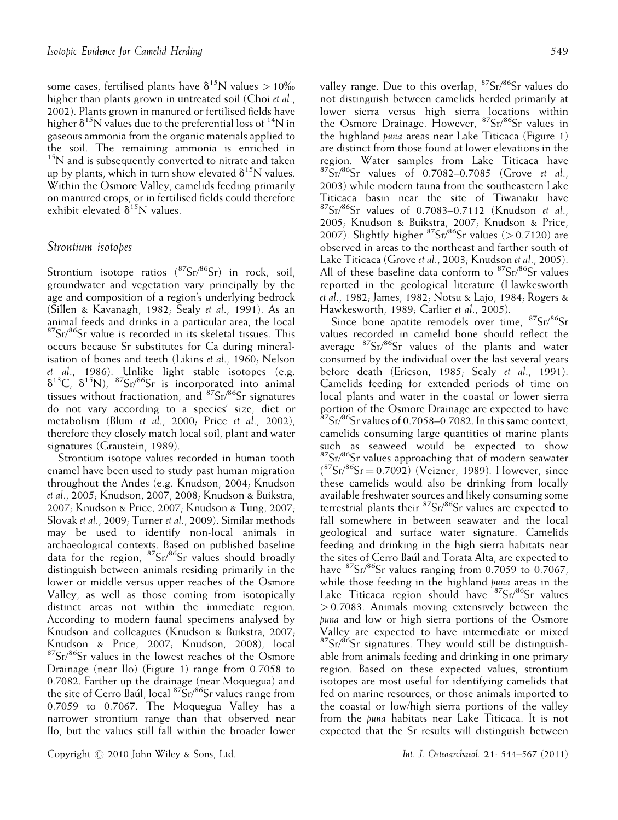some cases, fertilised plants have  $\delta^{15}N$  values  $> 10\%$ higher than plants grown in untreated soil (Choi et al., 2002). Plants grown in manured or fertilised fields have higher  $\delta^{15}N$  values due to the preferential loss of  $^{14}N$  in gaseous ammonia from the organic materials applied to the soil. The remaining ammonia is enriched in  $15$ N and is subsequently converted to nitrate and taken up by plants, which in turn show elevated  $\delta^{15}N$  values. Within the Osmore Valley, camelids feeding primarily on manured crops, or in fertilised fields could therefore exhibit elevated  $\delta^{15}N$  values.

### Strontium isotopes

Strontium isotope ratios  $(^{87}Sr/^{86}Sr)$  in rock, soil, groundwater and vegetation vary principally by the age and composition of a region's underlying bedrock (Sillen & Kavanagh, 1982; Sealy et al., 1991). As an animal feeds and drinks in a particular area, the local  $87Sr/86Sr$  value is recorded in its skeletal tissues. This occurs because Sr substitutes for Ca during mineralisation of bones and teeth (Likins et al., 1960; Nelson et al., 1986). Unlike light stable isotopes (e.g.  $\delta^{13}C$ ,  $\delta^{15}N$ ),  ${}^{87}Sr/{}^{86}Sr$  is incorporated into animal tissues without fractionation, and <sup>87</sup>Sr/<sup>86</sup>Sr signatures do not vary according to a species' size, diet or metabolism (Blum et al., 2000; Price et al., 2002), therefore they closely match local soil, plant and water signatures (Graustein, 1989).

Strontium isotope values recorded in human tooth enamel have been used to study past human migration throughout the Andes (e.g. Knudson, 2004; Knudson et al., 2005; Knudson, 2007, 2008; Knudson & Buikstra, 2007; Knudson & Price, 2007; Knudson & Tung, 2007; Slovak et al., 2009; Turner et al., 2009). Similar methods may be used to identify non-local animals in archaeological contexts. Based on published baseline data for the region, <sup>87</sup>Sr/<sup>86</sup>Sr values should broadly distinguish between animals residing primarily in the lower or middle versus upper reaches of the Osmore Valley, as well as those coming from isotopically distinct areas not within the immediate region. According to modern faunal specimens analysed by Knudson and colleagues (Knudson & Buikstra, 2007; Knudson & Price, 2007; Knudson, 2008), local  ${}^{87}Sr/{}^{86}Sr$  values in the lowest reaches of the Osmore Drainage (near Ilo) (Figure 1) range from 0.7058 to 0.7082. Farther up the drainage (near Moquegua) and the site of Cerro Baul, local  ${}^{87}Sr/{}^{86}Sr$  values range from 0.7059 to 0.7067. The Moquegua Valley has a narrower strontium range than that observed near Ilo, but the values still fall within the broader lower valley range. Due to this overlap,  ${}^{87}Sr/{}^{86}Sr$  values do not distinguish between camelids herded primarily at lower sierra versus high sierra locations within the Osmore Drainage. However, <sup>87</sup>Sr/86Sr values in the highland puna areas near Lake Titicaca (Figure 1) are distinct from those found at lower elevations in the region. Water samples from Lake Titicaca have  ${}^{87}Sr/{}^{86}Sr$  values of 0.7082-0.7085 (Grove et al., 2003) while modern fauna from the southeastern Lake Titicaca basin near the site of Tiwanaku have  ${}^{87}Sr/{}^{86}Sr$  values of 0.7083-0.7112 (Knudson et al., 2005; Knudson & Buikstra, 2007; Knudson & Price, 2007). Slightly higher  ${}^{87}Sr/{}^{86}Sr$  values ( $> 0.7120$ ) are observed in areas to the northeast and farther south of Lake Titicaca (Grove et al., 2003; Knudson et al., 2005). All of these baseline data conform to  ${}^{87}Sr/{}^{86}Sr$  values reported in the geological literature (Hawkesworth et al., 1982; James, 1982; Notsu & Lajo, 1984; Rogers & Hawkesworth, 1989; Carlier et al., 2005).

Since bone apatite remodels over time, <sup>87</sup>Sr/<sup>86</sup>Sr values recorded in camelid bone should reflect the average <sup>87</sup>Sr/<sup>86</sup>Sr values of the plants and water consumed by the individual over the last several years before death (Ericson, 1985; Sealy et al., 1991). Camelids feeding for extended periods of time on local plants and water in the coastal or lower sierra portion of the Osmore Drainage are expected to have  $87$ Sr/ $86$ Sr values of 0.7058–0.7082. In this same context, camelids consuming large quantities of marine plants such as seaweed would be expected to show  $87Sr/86Sr$  values approaching that of modern seawater  $({}^{87}Sr{}^{86}Sr = 0.7092)$  (Veizner, 1989). However, since these camelids would also be drinking from locally available freshwater sources and likely consuming some terrestrial plants their <sup>87</sup>Sr/<sup>86</sup>Sr values are expected to fall somewhere in between seawater and the local geological and surface water signature. Camelids feeding and drinking in the high sierra habitats near the sites of Cerro Baul and Torata Alta, are expected to have  ${}^{87}Sr/{}^{86}Sr$  values ranging from 0.7059 to 0.7067, while those feeding in the highland puna areas in the Lake Titicaca region should have  $87$ Sr/ $86$ Sr values  $> 0.7083$ . Animals moving extensively between the puna and low or high sierra portions of the Osmore Valley are expected to have intermediate or mixed  ${}^{87}Sr/{}^{86}Sr$  signatures. They would still be distinguishable from animals feeding and drinking in one primary region. Based on these expected values, strontium isotopes are most useful for identifying camelids that fed on marine resources, or those animals imported to the coastal or low/high sierra portions of the valley from the puna habitats near Lake Titicaca. It is not expected that the Sr results will distinguish between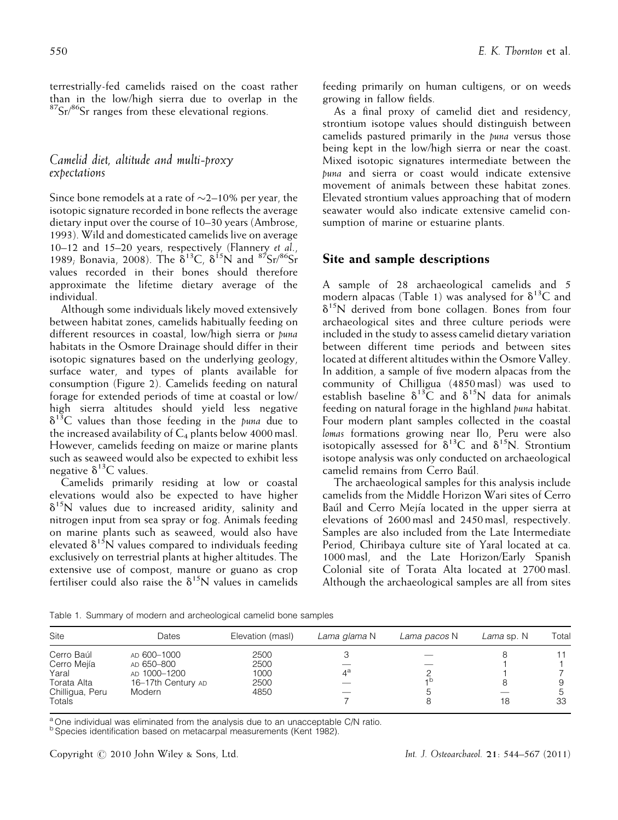terrestrially-fed camelids raised on the coast rather than in the low/high sierra due to overlap in the  $87\text{Sr}/86\text{Sr}$  ranges from these elevational regions.

### Camelid diet, altitude and multi-proxy expectations

Since bone remodels at a rate of  $\sim$ 2–10% per year, the isotopic signature recorded in bone reflects the average dietary input over the course of 10–30 years (Ambrose, 1993). Wild and domesticated camelids live on average 10–12 and 15–20 years, respectively (Flannery et al., 1989; Bonavia, 2008). The  $\delta^{13}C$ ,  $\delta^{15}N$  and  $8^5Sr/8^6Sr$ values recorded in their bones should therefore approximate the lifetime dietary average of the individual.

Although some individuals likely moved extensively between habitat zones, camelids habitually feeding on different resources in coastal, low/high sierra or puna habitats in the Osmore Drainage should differ in their isotopic signatures based on the underlying geology, surface water, and types of plants available for consumption (Figure 2). Camelids feeding on natural forage for extended periods of time at coastal or low/ high sierra altitudes should yield less negative  $\delta^{13}$ C values than those feeding in the puna due to the increased availability of  $C_4$  plants below 4000 masl. However, camelids feeding on maize or marine plants such as seaweed would also be expected to exhibit less negative  $\delta^{13}$ C values.

Camelids primarily residing at low or coastal elevations would also be expected to have higher  $\delta^{15}$ N values due to increased aridity, salinity and nitrogen input from sea spray or fog. Animals feeding on marine plants such as seaweed, would also have elevated  $\delta^{15}N$  values compared to individuals feeding exclusively on terrestrial plants at higher altitudes. The extensive use of compost, manure or guano as crop fertiliser could also raise the  $\delta^{15}N$  values in camelids feeding primarily on human cultigens, or on weeds growing in fallow fields.

As a final proxy of camelid diet and residency, strontium isotope values should distinguish between camelids pastured primarily in the puna versus those being kept in the low/high sierra or near the coast. Mixed isotopic signatures intermediate between the puna and sierra or coast would indicate extensive movement of animals between these habitat zones. Elevated strontium values approaching that of modern seawater would also indicate extensive camelid consumption of marine or estuarine plants.

### Site and sample descriptions

A sample of 28 archaeological camelids and 5 modern alpacas (Table 1) was analysed for  $\delta^{13}$ C and  $\delta^{15}$ N derived from bone collagen. Bones from four archaeological sites and three culture periods were included in the study to assess camelid dietary variation between different time periods and between sites located at different altitudes within the Osmore Valley. In addition, a sample of five modern alpacas from the community of Chilligua (4850 masl) was used to establish baseline  $\delta^{13}$ C and  $\delta^{15}$ N data for animals feeding on natural forage in the highland puna habitat. Four modern plant samples collected in the coastal lomas formations growing near Ilo, Peru were also isotopically assessed for  $\delta^{13}$ C and  $\delta^{15}$ N. Strontium isotope analysis was only conducted on archaeological camelid remains from Cerro Baúl.

The archaeological samples for this analysis include camelids from the Middle Horizon Wari sites of Cerro Baúl and Cerro Mejía located in the upper sierra at elevations of 2600 masl and 2450 masl, respectively. Samples are also included from the Late Intermediate Period, Chiribaya culture site of Yaral located at ca. 1000 masl, and the Late Horizon/Early Spanish Colonial site of Torata Alta located at 2700 masl. Although the archaeological samples are all from sites

Table 1. Summary of modern and archeological camelid bone samples

| Site            | Dates              | Elevation (masl) | Lama glama N | Lama pacos N | <i>Lama</i> sp. N | Total |
|-----------------|--------------------|------------------|--------------|--------------|-------------------|-------|
| Cerro Baúl      | AD 600-1000        | 2500             |              |              |                   | 11    |
| Cerro Mejía     | AD 650-800         | 2500             |              |              |                   |       |
| Yaral           | AD 1000-1200       | 1000             | $4^{\rm a}$  |              |                   |       |
| Torata Alta     | 16-17th Century AD | 2500             |              |              |                   |       |
| Chilligua, Peru | Modern             | 4850             |              |              |                   |       |
| Totals          |                    |                  |              |              | 18                | 33    |

<sup>a</sup>One individual was eliminated from the analysis due to an unacceptable C/N ratio.

b Species identification based on metacarpal measurements (Kent 1982).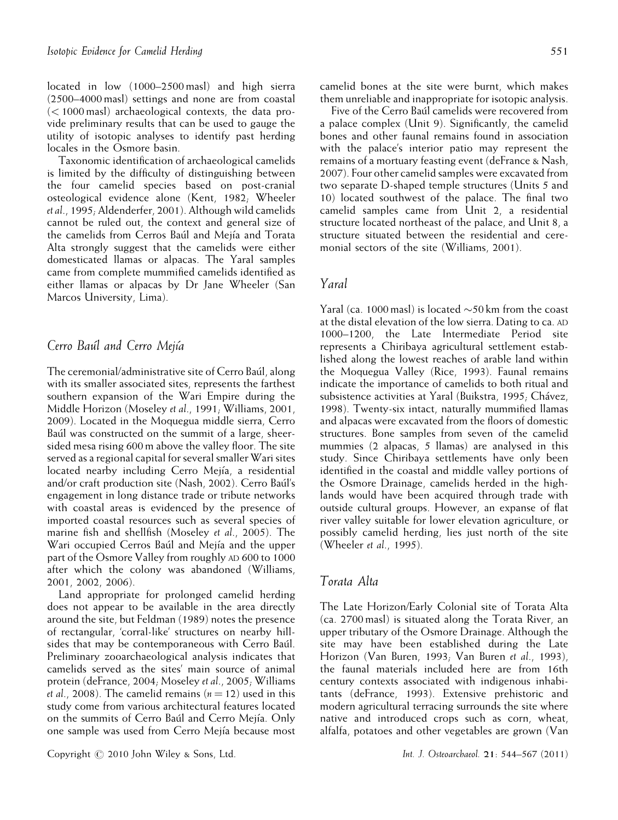located in low (1000–2500 masl) and high sierra (2500–4000 masl) settings and none are from coastal  $(< 1000 \,\text{mas}$ ) archaeological contexts, the data provide preliminary results that can be used to gauge the utility of isotopic analyses to identify past herding locales in the Osmore basin.

Taxonomic identification of archaeological camelids is limited by the difficulty of distinguishing between the four camelid species based on post-cranial osteological evidence alone (Kent, 1982; Wheeler et al., 1995; Aldenderfer, 2001). Although wild camelids cannot be ruled out, the context and general size of the camelids from Cerros Baúl and Mejía and Torata Alta strongly suggest that the camelids were either domesticated llamas or alpacas. The Yaral samples came from complete mummified camelids identified as either llamas or alpacas by Dr Jane Wheeler (San Marcos University, Lima).

## Cerro Baúl and Cerro Mejía

The ceremonial/administrative site of Cerro Baúl, along with its smaller associated sites, represents the farthest southern expansion of the Wari Empire during the Middle Horizon (Moseley et al., 1991; Williams, 2001, 2009). Located in the Moquegua middle sierra, Cerro Baul was constructed on the summit of a large, sheersided mesa rising 600 m above the valley floor. The site served as a regional capital for several smaller Wari sites located nearby including Cerro Mejía, a residential and/or craft production site (Nash, 2002). Cerro Baúl's engagement in long distance trade or tribute networks with coastal areas is evidenced by the presence of imported coastal resources such as several species of marine fish and shellfish (Moseley et al., 2005). The Wari occupied Cerros Baúl and Mejía and the upper part of the Osmore Valley from roughly AD 600 to 1000 after which the colony was abandoned (Williams, 2001, 2002, 2006).

Land appropriate for prolonged camelid herding does not appear to be available in the area directly around the site, but Feldman (1989) notes the presence of rectangular, 'corral-like' structures on nearby hillsides that may be contemporaneous with Cerro Baúl. Preliminary zooarchaeological analysis indicates that camelids served as the sites' main source of animal protein (deFrance, 2004; Moseley et al., 2005; Williams *et al.*, 2008). The camelid remains  $(n = 12)$  used in this study come from various architectural features located on the summits of Cerro Baúl and Cerro Mejía. Only one sample was used from Cerro Mejía because most camelid bones at the site were burnt, which makes them unreliable and inappropriate for isotopic analysis.

Five of the Cerro Baúl camelids were recovered from a palace complex (Unit 9). Significantly, the camelid bones and other faunal remains found in association with the palace's interior patio may represent the remains of a mortuary feasting event (deFrance & Nash, 2007). Four other camelid samples were excavated from two separate D-shaped temple structures (Units 5 and 10) located southwest of the palace. The final two camelid samples came from Unit 2, a residential structure located northeast of the palace, and Unit 8, a structure situated between the residential and ceremonial sectors of the site (Williams, 2001).

### Yaral

Yaral (ca. 1000 masl) is located  $\sim$  50 km from the coast at the distal elevation of the low sierra. Dating to ca. AD 1000–1200, the Late Intermediate Period site represents a Chiribaya agricultural settlement established along the lowest reaches of arable land within the Moquegua Valley (Rice, 1993). Faunal remains indicate the importance of camelids to both ritual and subsistence activities at Yaral (Buikstra, 1995; Chávez, 1998). Twenty-six intact, naturally mummified llamas and alpacas were excavated from the floors of domestic structures. Bone samples from seven of the camelid mummies (2 alpacas, 5 llamas) are analysed in this study. Since Chiribaya settlements have only been identified in the coastal and middle valley portions of the Osmore Drainage, camelids herded in the highlands would have been acquired through trade with outside cultural groups. However, an expanse of flat river valley suitable for lower elevation agriculture, or possibly camelid herding, lies just north of the site (Wheeler et al., 1995).

### Torata Alta

The Late Horizon/Early Colonial site of Torata Alta (ca. 2700 masl) is situated along the Torata River, an upper tributary of the Osmore Drainage. Although the site may have been established during the Late Horizon (Van Buren, 1993; Van Buren et al., 1993), the faunal materials included here are from 16th century contexts associated with indigenous inhabitants (deFrance, 1993). Extensive prehistoric and modern agricultural terracing surrounds the site where native and introduced crops such as corn, wheat, alfalfa, potatoes and other vegetables are grown (Van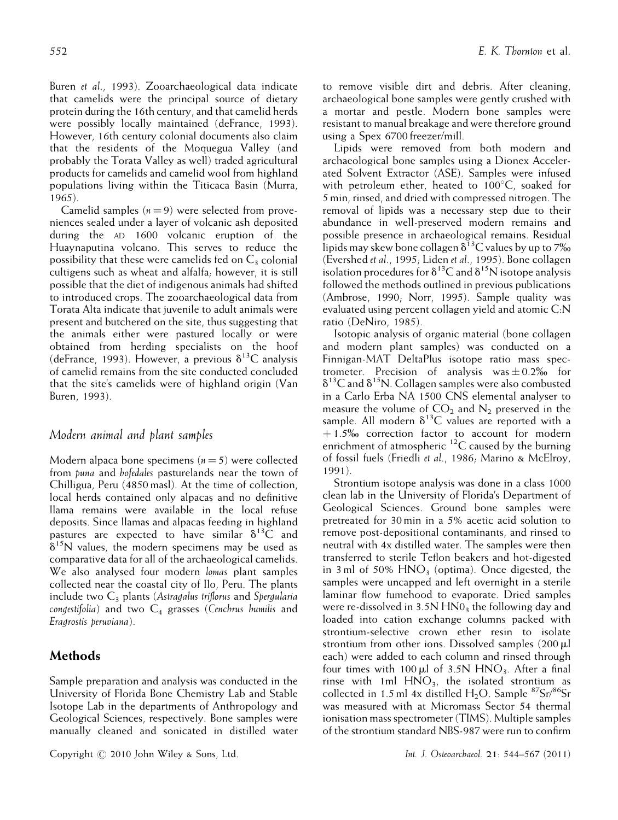Buren et al., 1993). Zooarchaeological data indicate that camelids were the principal source of dietary protein during the 16th century, and that camelid herds were possibly locally maintained (deFrance, 1993). However, 16th century colonial documents also claim that the residents of the Moquegua Valley (and probably the Torata Valley as well) traded agricultural products for camelids and camelid wool from highland populations living within the Titicaca Basin (Murra, 1965).

Camelid samples  $(n = 9)$  were selected from proveniences sealed under a layer of volcanic ash deposited during the AD 1600 volcanic eruption of the Huaynaputina volcano. This serves to reduce the possibility that these were camelids fed on  $C_3$  colonial cultigens such as wheat and alfalfa; however, it is still possible that the diet of indigenous animals had shifted to introduced crops. The zooarchaeological data from Torata Alta indicate that juvenile to adult animals were present and butchered on the site, thus suggesting that the animals either were pastured locally or were obtained from herding specialists on the hoof (deFrance, 1993). However, a previous  $\delta^{13}$ C analysis of camelid remains from the site conducted concluded that the site's camelids were of highland origin (Van Buren, 1993).

# Modern animal and plant samples

Modern alpaca bone specimens  $(n = 5)$  were collected from puna and bofedales pasturelands near the town of Chilligua, Peru (4850 masl). At the time of collection, local herds contained only alpacas and no definitive llama remains were available in the local refuse deposits. Since llamas and alpacas feeding in highland pastures are expected to have similar  $\delta^{13}C$  and  $\delta^{15}$ N values, the modern specimens may be used as comparative data for all of the archaeological camelids. We also analysed four modern lomas plant samples collected near the coastal city of Ilo, Peru. The plants include two  $C_3$  plants (Astragalus triflorus and Spergularia congestifolia) and two  $C_4$  grasses (Cenchrus humilis and Eragrostis peruviana).

# Methods

Sample preparation and analysis was conducted in the University of Florida Bone Chemistry Lab and Stable Isotope Lab in the departments of Anthropology and Geological Sciences, respectively. Bone samples were manually cleaned and sonicated in distilled water

Copyright  $\odot$  2010 John Wiley & Sons, Ltd. Int. J. Osteoarchaeol. 21: 544–567 (2011)

to remove visible dirt and debris. After cleaning, archaeological bone samples were gently crushed with a mortar and pestle. Modern bone samples were resistant to manual breakage and were therefore ground using a Spex 6700 freezer/mill.

Lipids were removed from both modern and archaeological bone samples using a Dionex Accelerated Solvent Extractor (ASE). Samples were infused with petroleum ether, heated to  $100^{\circ}$ C, soaked for 5 min, rinsed, and dried with compressed nitrogen. The removal of lipids was a necessary step due to their abundance in well-preserved modern remains and possible presence in archaeological remains. Residual lipids may skew bone collagen  $\delta^{13}$ C values by up to 7% (Evershed et al., 1995; Liden et al., 1995). Bone collagen isolation procedures for  $\delta^{13}$ C and  $\delta^{15}$ N isotope analysis followed the methods outlined in previous publications (Ambrose, 1990; Norr, 1995). Sample quality was evaluated using percent collagen yield and atomic C:N ratio (DeNiro, 1985).

Isotopic analysis of organic material (bone collagen and modern plant samples) was conducted on a Finnigan-MAT DeltaPlus isotope ratio mass spectrometer. Precision of analysis was  $\pm 0.2\%$  for  $\delta^{13}$ C and  $\delta^{15}$ N. Collagen samples were also combusted in a Carlo Erba NA 1500 CNS elemental analyser to measure the volume of  $CO<sub>2</sub>$  and  $N<sub>2</sub>$  preserved in the sample. All modern  $\delta^{13}$ C values are reported with a  $+1.5%$  correction factor to account for modern enrichment of atmospheric  ${}^{12}C$  caused by the burning of fossil fuels (Friedli et al., 1986; Marino & McElroy, 1991).

Strontium isotope analysis was done in a class 1000 clean lab in the University of Florida's Department of Geological Sciences. Ground bone samples were pretreated for 30 min in a 5% acetic acid solution to remove post-depositional contaminants, and rinsed to neutral with 4x distilled water. The samples were then transferred to sterile Teflon beakers and hot-digested in 3 ml of 50%  $HNO<sub>3</sub>$  (optima). Once digested, the samples were uncapped and left overnight in a sterile laminar flow fumehood to evaporate. Dried samples were re-dissolved in 3.5N  $HNO<sub>3</sub>$  the following day and loaded into cation exchange columns packed with strontium-selective crown ether resin to isolate strontium from other ions. Dissolved samples  $(200 \mu l)$ each) were added to each column and rinsed through four times with 100  $\mu$ l of 3.5N HNO<sub>3</sub>. After a final rinse with 1ml  $HNO<sub>3</sub>$ , the isolated strontium as collected in 1.5 ml 4x distilled  $H_2O$ . Sample  ${}^{87}Sr/{}^{86}Sr$ was measured with at Micromass Sector 54 thermal ionisation mass spectrometer (TIMS). Multiple samples of the strontium standard NBS-987 were run to confirm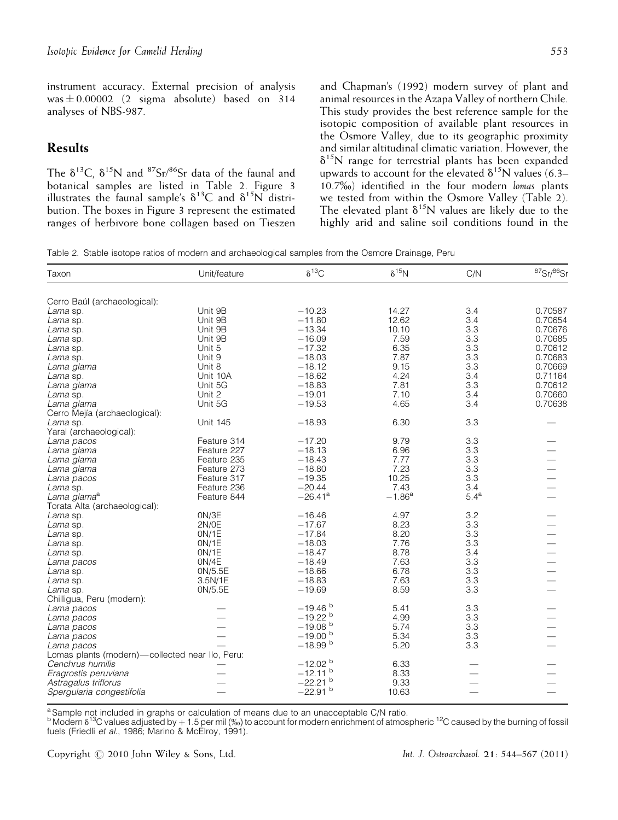instrument accuracy. External precision of analysis was  $\pm$  0.00002 (2 sigma absolute) based on 314 analyses of NBS-987.

# Results

The  $\delta^{13}C$ ,  $\delta^{15}N$  and  ${}^{87}Sr/{}^{86}Sr$  data of the faunal and botanical samples are listed in Table 2. Figure 3 illustrates the faunal sample's  $\delta^{13}$ C and  $\delta^{15}$ N distribution. The boxes in Figure 3 represent the estimated ranges of herbivore bone collagen based on Tieszen and Chapman's (1992) modern survey of plant and animal resources in the Azapa Valley of northern Chile. This study provides the best reference sample for the isotopic composition of available plant resources in the Osmore Valley, due to its geographic proximity and similar altitudinal climatic variation. However, the  $\delta^{15}$ N range for terrestrial plants has been expanded upwards to account for the elevated  $\delta^{15}N$  values (6.3– 10.7%) identified in the four modern lomas plants we tested from within the Osmore Valley (Table 2). The elevated plant  $\delta^{15}N$  values are likely due to the highly arid and saline soil conditions found in the

Table 2. Stable isotope ratios of modern and archaeological samples from the Osmore Drainage, Peru

| Taxon                                           | Unit/feature    | $\delta^{13}C$        | $\delta^{15}N$ | C/N              | $87$ Sr/ $86$ Sr |
|-------------------------------------------------|-----------------|-----------------------|----------------|------------------|------------------|
|                                                 |                 |                       |                |                  |                  |
| Cerro Baúl (archaeological):                    |                 |                       |                |                  |                  |
| Lama sp.                                        | Unit 9B         | $-10.23$              | 14.27          | 3.4              | 0.70587          |
| Lama sp.                                        | Unit 9B         | $-11.80$              | 12.62          | 3.4              | 0.70654          |
| Lama sp.                                        | Unit 9B         | $-13.34$              | 10.10          | 3.3              | 0.70676          |
| Lama sp.                                        | Unit 9B         | $-16.09$              | 7.59           | 3.3              | 0.70685          |
| Lama sp.                                        | Unit 5          | $-17.32$              | 6.35           | 3.3              | 0.70612          |
| Lama sp.                                        | Unit 9          | $-18.03$              | 7.87           | 3.3              | 0.70683          |
| Lama glama                                      | Unit 8          | $-18.12$              | 9.15           | 3.3              | 0.70669          |
| Lama sp.                                        | Unit 10A        | $-18.62$              | 4.24           | 3.4              | 0.71164          |
| Lama glama                                      | Unit 5G         | $-18.83$              | 7.81           | 3.3              | 0.70612          |
| Lama sp.                                        | Unit 2          | $-19.01$              | 7.10           | 3.4              | 0.70660          |
| Lama glama                                      | Unit 5G         | $-19.53$              | 4.65           | 3.4              | 0.70638          |
| Cerro Mejía (archaeological):                   |                 |                       |                |                  |                  |
| Lama sp.                                        | <b>Unit 145</b> | $-18.93$              | 6.30           | 3.3              |                  |
| Yaral (archaeological):                         |                 |                       |                |                  |                  |
| Lama pacos                                      | Feature 314     | $-17.20$              | 9.79           | 3.3              |                  |
| Lama glama                                      | Feature 227     | $-18.13$              | 6.96           | 3.3              |                  |
| Lama glama                                      | Feature 235     | $-18.43$              | 7.77           | 3.3              |                  |
| Lama glama                                      | Feature 273     | $-18.80$              | 7.23           | 3.3              |                  |
| Lama pacos                                      | Feature 317     | $-19.35$              | 10.25          | 3.3              |                  |
| Lama sp.                                        | Feature 236     | $-20.44$              | 7.43           | 3.4              |                  |
| Lama glama <sup>a</sup>                         | Feature 844     | $-26.41$ <sup>a</sup> | $-1.86^{a}$    | 5.4 <sup>a</sup> |                  |
| Torata Alta (archaeological):                   |                 |                       |                |                  |                  |
| Lama sp.                                        | ON/3E           | $-16.46$              | 4.97           | 3.2              |                  |
| Lama sp.                                        | <b>2N/0E</b>    | $-17.67$              | 8.23           | 3.3              |                  |
| Lama sp.                                        | ON/1E           | $-17.84$              | 8.20           | 3.3              |                  |
| Lama sp.                                        | ON/1E           | $-18.03$              | 7.76           | 3.3              |                  |
| Lama sp.                                        | ON/1E           | $-18.47$              | 8.78           | 3.4              |                  |
| Lama pacos                                      | ON/4E           | $-18.49$              | 7.63           | 3.3              |                  |
| Lama sp.                                        | 0N/5.5E         | $-18.66$              | 6.78           | 3.3              |                  |
| Lama sp.                                        | 3.5N/1E         | $-18.83$              | 7.63           | 3.3              |                  |
| Lama sp.                                        | 0N/5.5E         | $-19.69$              | 8.59           | 3.3              |                  |
| Chilligua, Peru (modern):                       |                 |                       |                |                  |                  |
| Lama pacos                                      |                 | $-19.46$ <sup>b</sup> | 5.41           | 3.3              |                  |
| Lama pacos                                      |                 | $-19.22$ b            | 4.99           | 3.3              |                  |
| Lama pacos                                      |                 | $-19.08$ <sup>b</sup> | 5.74           | 3.3              |                  |
| Lama pacos                                      |                 | $-19.00$ b            | 5.34           | 3.3              |                  |
| Lama pacos                                      |                 | $-18.99$ b            | 5.20           | 3.3              |                  |
| Lomas plants (modern)—collected near Ilo, Peru: |                 |                       |                |                  |                  |
| Cenchrus humilis                                |                 | $-12.02$ <sup>b</sup> | 6.33           |                  |                  |
| Eragrostis peruviana                            |                 | $-12.11$ <sup>b</sup> | 8.33           |                  |                  |
| Astragalus triflorus                            |                 | $-22.21$ b            | 9.33           |                  |                  |
| Spergularia congestifolia                       |                 | $-22.91$ <sup>b</sup> | 10.63          |                  |                  |
|                                                 |                 |                       |                |                  |                  |

a Sample not included in graphs or calculation of means due to an unacceptable C/N ratio.

 $b$  Modern  $\delta^{13}$ C values adjusted by  $+1.5$  per mil (%) to account for modern enrichment of atmospheric  $12$ C caused by the burning of fossil fuels (Friedli et al., 1986; Marino & McElroy, 1991).

Copyright  $\circled{c}$  2010 John Wiley & Sons, Ltd. Int. J. Osteoarchaeol. 21: 544–567 (2011)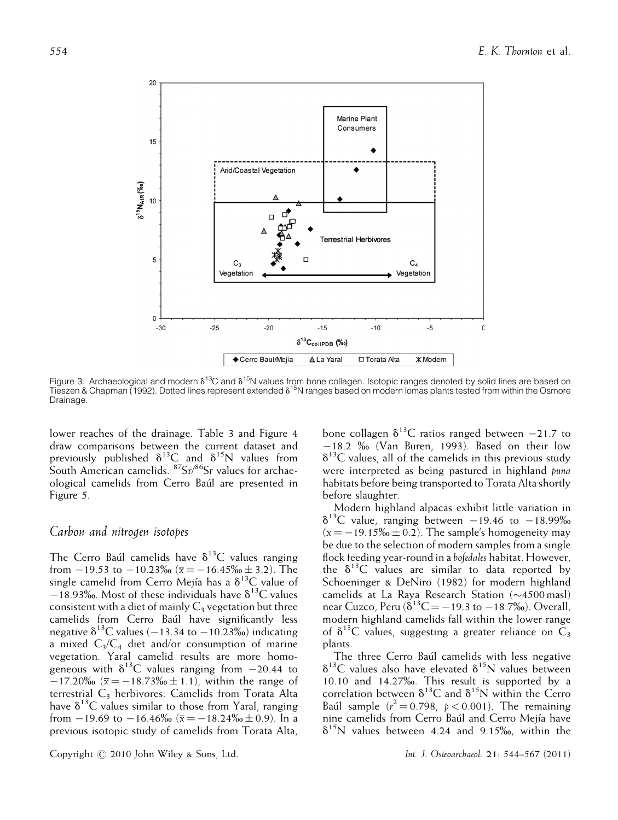

Figure 3. Archaeological and modern  $\delta^{13}C$  and  $\delta^{15}N$  values from bone collagen. Isotopic ranges denoted by solid lines are based on Tieszen & Chapman (1992). Dotted lines represent extended  $\delta^{15}N$  ranges based on modern lomas plants tested from within the Osmore Drainage.

lower reaches of the drainage. Table 3 and Figure 4 draw comparisons between the current dataset and previously published  $\delta^{13}$ C and  $\delta^{15}$ N values from South American camelids. <sup>87</sup>Sr/<sup>86</sup>Sr values for archaeological camelids from Cerro Baúl are presented in Figure 5.

### Carbon and nitrogen isotopes

The Cerro Baúl camelids have  $\delta^{13}$ C values ranging from  $-19.53$  to  $-10.23\%$  ( $\bar{x} = -16.45\%$   $\pm$  3.2). The single camelid from Cerro Mejía has a  $\delta^{13}$ C value of  $-18.93\%$ . Most of these individuals have  $\delta^{13}$ C values consistent with a diet of mainly  $C_3$  vegetation but three camelids from Cerro Baúl have significantly less negative  $\delta^{13}$ C values (-13.34 to -10.23‰) indicating a mixed  $C_3/C_4$  diet and/or consumption of marine vegetation. Yaral camelid results are more homogeneous with  $\delta^{13}$ C values ranging from -20.44 to  $-17.20\%$  ( $\bar{x} = -18.73\%$  ± 1.1), within the range of terrestrial C<sub>3</sub> herbivores. Camelids from Torata Alta have  $\delta^{13}$ C values similar to those from Yaral, ranging from  $-19.69$  to  $-16.46\%$  ( $\bar{x} = -18.24\%$   $\pm$  0.9). In a previous isotopic study of camelids from Torata Alta,

bone collagen  $\delta^{13}$ C ratios ranged between  $-21.7$  to -18.2 % (Van Buren, 1993). Based on their low  $\delta^{13}$ C values, all of the camelids in this previous study were interpreted as being pastured in highland puna habitats before being transported to Torata Alta shortly before slaughter.

Modern highland alpacas exhibit little variation in  $\delta^{13}$ C value, ranging between -19.46 to -18.99%  $(\bar{x} = -19.15\% \pm 0.2)$ . The sample's homogeneity may be due to the selection of modern samples from a single flock feeding year-round in a bofedales habitat. However, the  $\delta^{13}$ C values are similar to data reported by Schoeninger & DeNiro (1982) for modern highland camelids at La Raya Research Station  $(\sim 4500 \text{ mas}!)$ near Cuzco, Peru ( $\delta^{13}$ C =  $-19.3$  to  $-18.7\%$ o). Overall, modern highland camelids fall within the lower range of  $\delta^{13}$ C values, suggesting a greater reliance on C<sub>3</sub> plants.

The three Cerro Baúl camelids with less negative  $\delta^{13}$ C values also have elevated  $\delta^{15}$ N values between 10.10 and 14.27%. This result is supported by a correlation between  $\delta^{13}$ C and  $\delta^{15}$ N within the Cerro Baúl sample  $(r^2 = 0.798, p < 0.001)$ . The remaining nine camelids from Cerro Baúl and Cerro Mejía have  $\delta^{15}$ N values between 4.24 and 9.15%, within the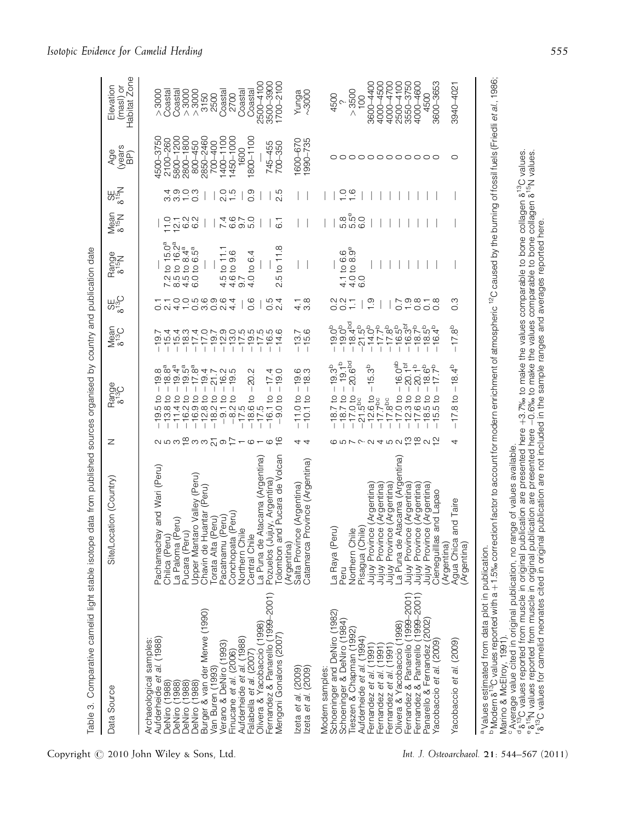| Table 3. Comparative camelid light stable isotop                                                                                                                                                                                                                                                                                                                                                                                                               | data from published sources organised by country and publication date<br>$\Phi$                                                                                                                                                                                                                                                                                                                                                     |                                                                                               |                                                                                                                                                                                                                                                                                                                                                                                                                                                                                                                                       |                                                                                                                                                      |                                                                                                                                                                 |                                                                                                                                                                                                                                                       |                                                            |                                              |                                                                                                                                                                                 |                                                                                                                                                                              |
|----------------------------------------------------------------------------------------------------------------------------------------------------------------------------------------------------------------------------------------------------------------------------------------------------------------------------------------------------------------------------------------------------------------------------------------------------------------|-------------------------------------------------------------------------------------------------------------------------------------------------------------------------------------------------------------------------------------------------------------------------------------------------------------------------------------------------------------------------------------------------------------------------------------|-----------------------------------------------------------------------------------------------|---------------------------------------------------------------------------------------------------------------------------------------------------------------------------------------------------------------------------------------------------------------------------------------------------------------------------------------------------------------------------------------------------------------------------------------------------------------------------------------------------------------------------------------|------------------------------------------------------------------------------------------------------------------------------------------------------|-----------------------------------------------------------------------------------------------------------------------------------------------------------------|-------------------------------------------------------------------------------------------------------------------------------------------------------------------------------------------------------------------------------------------------------|------------------------------------------------------------|----------------------------------------------|---------------------------------------------------------------------------------------------------------------------------------------------------------------------------------|------------------------------------------------------------------------------------------------------------------------------------------------------------------------------|
| Data Source                                                                                                                                                                                                                                                                                                                                                                                                                                                    | Site/Location (Country)                                                                                                                                                                                                                                                                                                                                                                                                             | z                                                                                             | Range<br>8 <sup>13</sup> C                                                                                                                                                                                                                                                                                                                                                                                                                                                                                                            | $Mgan$<br>$813C$                                                                                                                                     | <b>950</b><br>950                                                                                                                                               | Range<br>8 <sup>15</sup> N                                                                                                                                                                                                                            | $Mgen$<br>$Mgen$<br>$Mgen$                                 | $\frac{10^{100}}{900}$                       | (years<br>BP)<br>Age                                                                                                                                                            | Habitat Zone<br>Elevation<br>$(mas)$ or                                                                                                                                      |
| $-2001$<br>Burger & van der Merwe (1990)<br>Fernandez & Panarello (1999<br>Olivera & Yacobaccio (1998)<br>Mengoni Gonalons (2007<br>Aufderheide et al. (1988)<br>Archaeological samples:<br>Aufderheide <i>et al.</i> (1988)<br>Verano & DeNiro (1993)<br>Finucane et al. (2006)<br>Falabella et al. (2007)<br>Izeta <i>et al.</i> (2009)<br>Izeta <i>et al.</i> (2009)<br>Van Buren (1993)<br>(1988)<br>DeNiro (1988)<br>(1988)<br>DeNiro<br>DeNiro<br>DeNiro | Pozuelos (Jujuy, Argentina)<br>Tolombon and Pucara de Volcan<br>a Puna de Atacama (Argentina)<br>Salta Province (Argentina)<br>Catamarca Province (Argentina)<br>Pachamachay and Wari (Peru)<br>Upper Mantaro Valley (Peru<br>Chavin de Huantar (Peru)<br>Conchopata (Peru)<br>(Peru)<br>(Peru)<br>La Paloma (Peru)<br>Northern Chile<br>Pucara (Peru)<br>Chilca (Peru)<br>Central Chile<br>Torata Alta<br>Pacatnamu<br>(Argentina) | $\alpha$ หาง พี ยัง พ $\Sigma$ อ $\mu$ + $\alpha$ + $\alpha$ $\beta$<br>44                    | $-19.4a-19.5a-17.8a$<br>$19.8^{\circ}$<br>$18.8^{\circ}$<br>$-19.3$<br>$-18.3$<br>$-19.4$<br>$-16.2$<br>20.2<br>$\circ$<br>$-21.7$<br>ယ<br>$-17.4$<br>$-19.$<br>$-19$<br>$-16.1$ to $-16.1$ to $-9.0$ to<br>$-11.0_{10}$<br>$-10.1_{10}$<br>$\overline{\mathbb{S}}$<br>$-9.1$ to<br>$-9.2$ to<br>$-17.5$ to<br>$-18.5$ to<br>$-17.5$<br>S,<br>5<br>$-13.8$<br>$\frac{1}{2}$                                                                                                                                                           | $\sim$ $\infty$<br>4<br>∼<br>$-13.$<br>ΓÓ.                                                                                                           | 0.0.0.0.0.0.4<br>ဖ<br>$\vec{v}$ 4<br>$\frac{1}{4}$ 8.<br>4 – 0 9 0 9 4<br>0 N<br>Ö<br>$\sim$                                                                    | $76.2a6.5a6.5a$<br>5.0 <sup>a</sup><br>to 11.8<br>$\frac{11.1}{2}$<br>G<br>4<br>$\infty$<br>6<br>$\Omega$<br>$\overline{c}$<br>$\overline{\mathrm{C}}$<br>$\overline{c}$<br>đ<br>rù rù O<br>$4.0 - 7$<br>4.0<br>5<br>4.5<br>$\infty$ 4 $\infty$<br>ΩÓ | 0.2000<br>11.0<br>7<br>6070<br>7<br>12.1<br>$\overline{6}$ | a a − 0<br>4 o 0 ω<br>20.5<br>0.9<br>ယ<br>Ωi | 1800-1100<br>4500-375C<br>5800-1200<br>1400-1100<br>1450-1000<br>2850-246C<br>2800-1800<br>1990-735<br>2100-260<br>1600-670<br>800-450<br>700-400<br>745-455<br>700-350<br>1600 | 3500-3900<br>2500-4100<br>$1700 - 2100$<br>> 3000<br>$> 3000$<br>$> 3000$<br>Coasta<br>Coastal<br>Coasta<br>Coasta<br>Coasta<br>$\frac{Yunga}{0000}$<br>3150<br>2500<br>2700 |
| 1999-2001)<br>$(1999 - 2001)$<br>Schoeninger and DeNiro (1982)<br>Schoeninger & DeNiro (1984)<br>Panarello & Fernandez (2002)<br>1998)<br>lieszen & Chapman (1992)<br>Aufderheide et al. (1994)<br>Yacobaccio <i>et al.</i> (2009)<br>(acobaccio et al. (2009)<br>Fernandez & Panarello<br>Fernandez & Panarello<br>Fernandez et al. (1991<br>Olivera & Yacobaccio<br>Fernandez et al. (1991<br>Fernandez et al. (1991<br>Modern samples:                      | a Puna de Atacama (Argentina)<br>(Argentina)<br>Jujuy Province (Argentina)<br>Jujuy Province (Argentina)<br>Jujuy Province (Argentina)<br>Jujuy Province (Argentina)<br><b>Argentina</b><br>s and Lapao<br>and Taire<br>Jujuy Province<br>Jujuy Province<br>La Raya (Peru)<br>Pisagua (Chile)<br>Northern Chile<br>Agua Chica<br>Cieneguilla<br>(Argentina)<br>Argentina)<br>Peru                                                   | $\omega$ $\omega$ $\sim$ $\omega$ $\sim$ $\omega$ $\sim$ $\omega$ $\sim$ $\omega$ $\sim$<br>4 | $-20.6bd$<br>$19.1^{b}$<br>$\mathbb{G}^{\text{ab}}$<br>$\frac{1}{2}$<br>$-19.3^{b}$<br>$\mathbf{Q}$<br>$-15.3^{b}$<br>ءِ<br>$-18.4^{b}$<br>주 기<br>- 10<br>- 17<br>$\frac{6}{1}$<br>$\overline{1}$<br>$-17.8$ to<br>$\begin{array}{r} -17.00000\\ -7.700000\\ -2.700000\\ -1.7017\\ -1.700000\\ -1.700000\\ -1.700000\\ -1.70000\\ -1.70000\\ -1.70000\\ -1.70000\\ -1.70000\\ -1.70000\\ -1.70000\\ -1.70000\\ -1.70000\\ -1.70000\\ -1.70000\\ -1.70000\\ -1.70000\\ -1.70000\\ -1.70000\\ -1.70000\\ -$<br>$-18.7$ to<br>$-18.7$ to | $-18.4^{bd}$<br>$\frac{1}{6}$<br>$\frac{3}{6}$<br>$\frac{1}{6}$<br>$-19.0^{b}$<br>$-19.0^{b}$<br>$-18.5^{b}$<br>$\infty$<br>$\vec{r}$<br>6<br>$-17.$ | 000100<br>2000<br>ო<br>$\begin{array}{c} \mathcal{O} & \mathcal{O} & \mathcal{L} \\ \mathcal{O} & \mathcal{O} & \mathcal{L} \end{array}$<br>$\overline{0}$<br>ö | ဖြစ<br>$\infty$<br>ဖ<br>o a<br>$\frac{0}{6}$ 0<br>$\overline{4}$ .                                                                                                                                                                                    | 5.8<br>5.9<br>5.9<br>6.0                                   | $\frac{0}{10}$                               | ooooooooooo<br>O                                                                                                                                                                | 3550-3750<br>3600-3653<br>3600-4400<br>4000-4500<br>4000-4700<br>2500-4100<br>4000-4600<br>3940-402<br>> 3500<br>4500<br>4500<br>100                                         |
| <sup>c</sup> Average value cited in original publication, no range of values available<br>a Values estimated from data plot in publication.<br><sup>b</sup> Modern 8 <sup>13</sup> C values reported with a +1.5‰ corre<br>Marino & McElroy, 1991)                                                                                                                                                                                                             | ction factor to account for modern enrichment of atmospheric <sup>12</sup> C caused by the burning of fossil fuels (Friedli et al., 1986;                                                                                                                                                                                                                                                                                           |                                                                                               |                                                                                                                                                                                                                                                                                                                                                                                                                                                                                                                                       |                                                                                                                                                      |                                                                                                                                                                 |                                                                                                                                                                                                                                                       |                                                            |                                              |                                                                                                                                                                                 |                                                                                                                                                                              |

Copyright  $\odot$  2010 John Wiley & Sons, Ltd. Int. J. Osteoarchaeol. 21: 544–567 (2011)

ত

 $\ddot{}$ 

<sup>d 813</sup>C values reported from muscle in original publication are presented here

e s<sup>15</sup>N values reported from muscle in original publication are presented here

þ3.7 %

0<br>0 %

d13C values for camelid neonates cited in original publication are not included in the sample ranges and averages reported here.

 $\%$  to make the values comparable to bone collagen  $\delta^{13}_{12}$ C values.

% to make the values comparable to bone collagen 8<sup>15</sup>N values.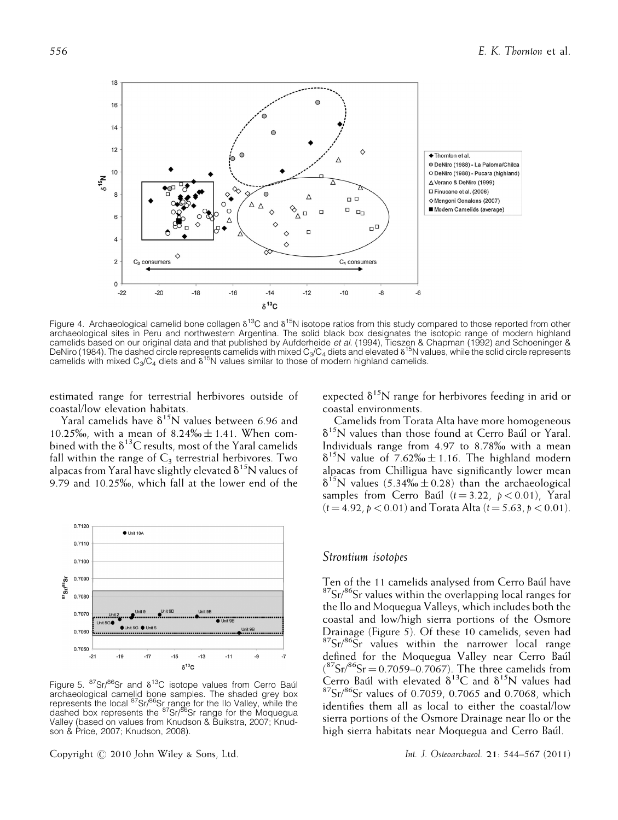

Figure 4. Archaeological camelid bone collagen  $\delta^{13}C$  and  $\delta^{15}N$  isotope ratios from this study compared to those reported from other archaeological sites in Peru and northwestern Argentina. The solid black box designates the isotopic range of modern highland camelids based on our original data and that published by Aufderheide *et al*. (1994), Tieszen & Chapman (1992) and Schoeninger &<br>DeNiro (1984). The dashed circle represents camelids with mixed C<sub>3</sub>/C<sub>4</sub> diets and elevated camelids with mixed  $C_3/C_4$  diets and  $\delta^{15}N$  values similar to those of modern highland camelids.

estimated range for terrestrial herbivores outside of coastal/low elevation habitats.

Yaral camelids have  $\delta^{15}N$  values between 6.96 and 10.25%, with a mean of  $8.24\% \pm 1.41$ . When combined with the  $\delta^{13}$ C results, most of the Yaral camelids fall within the range of  $C_3$  terrestrial herbivores. Two alpacas from Yaral have slightly elevated  $\delta^{15}N$  values of 9.79 and 10.25%, which fall at the lower end of the



Figure 5.  $87$ Sr/ $86$ Sr and  $\delta^{13}$ C isotope values from Cerro Baúl archaeological camelid bone samples. The shaded grey box represents the local <sup>87</sup>Sr/<sup>86</sup>Sr range for the Ilo Valley, while the dashed box represents the <sup>87</sup>Sr/86Sr range for the Moquegua Valley (based on values from Knudson & Buikstra, 2007; Knudson & Price, 2007; Knudson, 2008).

Copyright  $\odot$  2010 John Wiley & Sons, Ltd. Int. J. Osteoarchaeol. 21: 544–567 (2011)

expected  $\delta^{15}N$  range for herbivores feeding in arid or coastal environments.

Camelids from Torata Alta have more homogeneous  $\delta^{15}$ N values than those found at Cerro Baúl or Yaral. Individuals range from  $4.97$  to  $8.78\%$  with a mean  $\delta^{15}$ N value of 7.62%  $\pm$  1.16. The highland modern alpacas from Chilligua have significantly lower mean  $\delta^{15}$ N values (5.34%  $\pm$  0.28) than the archaeological samples from Cerro Baúl ( $t = 3.22$ ,  $p < 0.01$ ), Yaral  $(t = 4.92, p < 0.01)$  and Torata Alta  $(t = 5.63, p < 0.01)$ .

#### Strontium isotopes

Ten of the 11 camelids analysed from Cerro Baúl have  $87Sr/86Sr$  values within the overlapping local ranges for the Ilo and Moquegua Valleys, which includes both the coastal and low/high sierra portions of the Osmore Drainage (Figure 5). Of these 10 camelids, seven had  ${}^{87}Sr/{}^{86}Sr$  values within the narrower local range defined for the Moquegua Valley near Cerro Baúl  $({}^{87}Sr/{}^{86}Sr = 0.7059-0.7067)$ . The three camelids from Cerro Baúl with elevated  $\delta^{13}$ C and  $\delta^{15}$ N values had  ${}^{87}Sr/{}^{86}Sr$  values of 0.7059, 0.7065 and 0.7068, which identifies them all as local to either the coastal/low sierra portions of the Osmore Drainage near Ilo or the high sierra habitats near Moquegua and Cerro Baúl.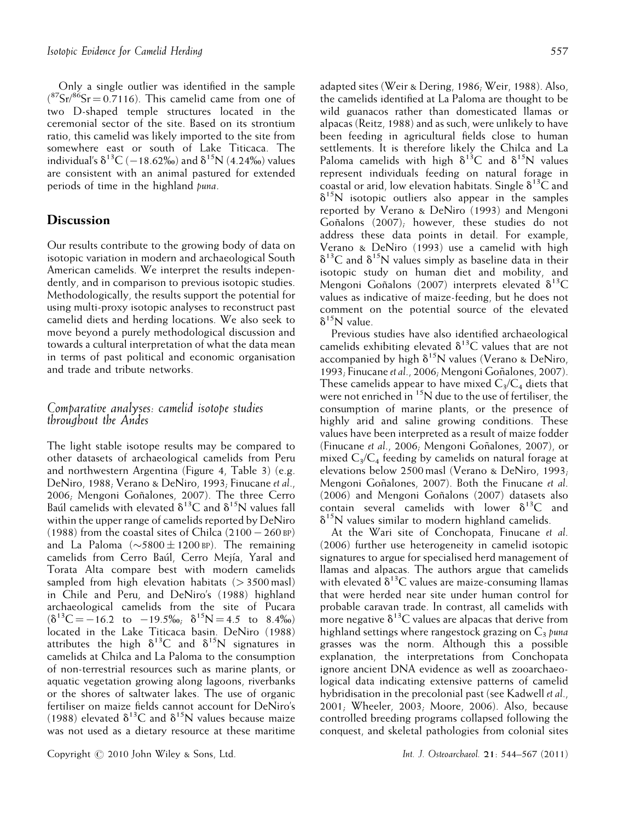Only a single outlier was identified in the sample  $({}^{87}Sr/{}^{86}Sr = 0.7116)$ . This camelid came from one of two D-shaped temple structures located in the ceremonial sector of the site. Based on its strontium ratio, this camelid was likely imported to the site from somewhere east or south of Lake Titicaca. The individual's  $\delta^{13}C$  ( $-18.62\%$ o) and  $\delta^{15}N$  (4.24 $\%$ o) values are consistent with an animal pastured for extended periods of time in the highland puna.

# **Discussion**

Our results contribute to the growing body of data on isotopic variation in modern and archaeological South American camelids. We interpret the results independently, and in comparison to previous isotopic studies. Methodologically, the results support the potential for using multi-proxy isotopic analyses to reconstruct past camelid diets and herding locations. We also seek to move beyond a purely methodological discussion and towards a cultural interpretation of what the data mean in terms of past political and economic organisation and trade and tribute networks.

### Comparative analyses: camelid isotope studies throughout the Andes

The light stable isotope results may be compared to other datasets of archaeological camelids from Peru and northwestern Argentina (Figure 4, Table 3) (e.g. DeNiro, 1988; Verano & DeNiro, 1993; Finucane et al., 2006; Mengoni Goñalones, 2007). The three Cerro Baúl camelids with elevated  $\delta^{13}$ C and  $\delta^{15}$ N values fall within the upper range of camelids reported by DeNiro  $(1988)$  from the coastal sites of Chilca  $(2100 - 260$  BP) and La Paloma ( $\sim$ 5800  $\pm$  1200 BP). The remaining camelids from Cerro Baúl, Cerro Mejía, Yaral and Torata Alta compare best with modern camelids sampled from high elevation habitats  $(>3500 \text{ mas}l)$ in Chile and Peru, and DeNiro's (1988) highland archaeological camelids from the site of Pucara  $(\delta^{13}C = -16.2 \text{ to } -19.5\% \text{, } \delta^{15}N = 4.5 \text{ to } 8.4\% \text{)}$ located in the Lake Titicaca basin. DeNiro (1988) attributes the high  $\delta^{13}$ C and  $\delta^{15}$ N signatures in camelids at Chilca and La Paloma to the consumption of non-terrestrial resources such as marine plants, or aquatic vegetation growing along lagoons, riverbanks or the shores of saltwater lakes. The use of organic fertiliser on maize fields cannot account for DeNiro's (1988) elevated  $\delta^{13}$ C and  $\delta^{15}$ N values because maize was not used as a dietary resource at these maritime

adapted sites (Weir & Dering, 1986; Weir, 1988). Also, the camelids identified at La Paloma are thought to be wild guanacos rather than domesticated llamas or alpacas (Reitz, 1988) and as such, were unlikely to have been feeding in agricultural fields close to human settlements. It is therefore likely the Chilca and La Paloma camelids with high  $\delta^{13}$ C and  $\delta^{15}$ N values represent individuals feeding on natural forage in coastal or arid, low elevation habitats. Single  $\delta^{13}C$  and  $\delta^{15}$ N isotopic outliers also appear in the samples reported by Verano & DeNiro (1993) and Mengoni Goñalons (2007); however, these studies do not address these data points in detail. For example, Verano & DeNiro (1993) use a camelid with high  $\delta^{13}$ C and  $\delta^{15}$ N values simply as baseline data in their isotopic study on human diet and mobility, and Mengoni Goñalons (2007) interprets elevated  $\delta^{13}$ C values as indicative of maize-feeding, but he does not comment on the potential source of the elevated  $\delta^{15}N$  value.

Previous studies have also identified archaeological camelids exhibiting elevated  $\delta^{13}$ C values that are not accompanied by high  $\delta^{15}N$  values (Verano & DeNiro, 1993; Finucane et al., 2006; Mengoni Goñalones, 2007). These camelids appear to have mixed  $C_3/C_4$  diets that were not enriched in  $^{15}N$  due to the use of fertiliser, the consumption of marine plants, or the presence of highly arid and saline growing conditions. These values have been interpreted as a result of maize fodder (Finucane et al., 2006; Mengoni Goñalones, 2007), or mixed  $C_3/C_4$  feeding by camelids on natural forage at elevations below 2500 masl (Verano & DeNiro, 1993; Mengoni Goñalones, 2007). Both the Finucane et al.  $(2006)$  and Mengoni Goñalons  $(2007)$  datasets also contain several camelids with lower  $\delta^{13}$ C and  $\delta^{15}$ N values similar to modern highland camelids.

At the Wari site of Conchopata, Finucane et al. (2006) further use heterogeneity in camelid isotopic signatures to argue for specialised herd management of llamas and alpacas. The authors argue that camelids with elevated  $\delta^{13}$ C values are maize-consuming llamas that were herded near site under human control for probable caravan trade. In contrast, all camelids with more negative  $\delta^{13}$ C values are alpacas that derive from highland settings where rangestock grazing on  $C_3$  puna grasses was the norm. Although this a possible explanation, the interpretations from Conchopata ignore ancient DNA evidence as well as zooarchaeological data indicating extensive patterns of camelid hybridisation in the precolonial past (see Kadwell *et al.*, 2001; Wheeler, 2003; Moore, 2006). Also, because controlled breeding programs collapsed following the conquest, and skeletal pathologies from colonial sites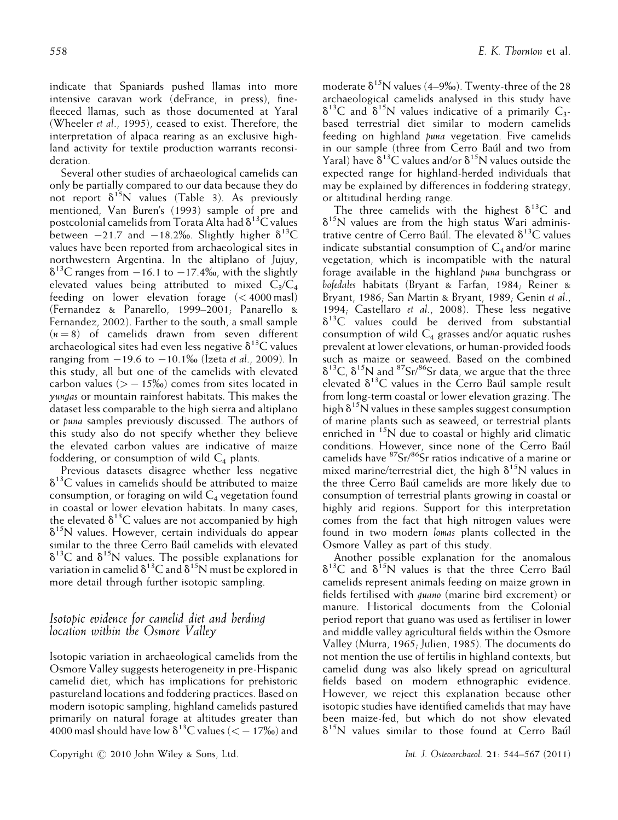indicate that Spaniards pushed llamas into more intensive caravan work (deFrance, in press), finefleeced llamas, such as those documented at Yaral (Wheeler et al., 1995), ceased to exist. Therefore, the interpretation of alpaca rearing as an exclusive highland activity for textile production warrants reconsideration.

Several other studies of archaeological camelids can only be partially compared to our data because they do not report  $\delta^{15}N$  values (Table 3). As previously mentioned, Van Buren's (1993) sample of pre and postcolonial camelids from Torata Alta had  $\delta^{13}$ C values between  $-21.7$  and  $-18.2\%$ . Slightly higher  $\delta^{13}$ C values have been reported from archaeological sites in northwestern Argentina. In the altiplano of Jujuy,  $\delta^{13}$ C ranges from  $-16.1$  to  $-17.4\%$ , with the slightly elevated values being attributed to mixed  $C_3/C_4$ feeding on lower elevation forage  $( $4000 \text{ mas}$ )$ (Fernandez & Panarello, 1999–2001; Panarello & Fernandez, 2002). Farther to the south, a small sample  $(n = 8)$  of camelids drawn from seven different archaeological sites had even less negative  $\delta^{13}$ C values ranging from -19.6 to -10.1‰ (Izeta et al., 2009). In this study, all but one of the camelids with elevated carbon values  $(>-15\%)$  comes from sites located in yungas or mountain rainforest habitats. This makes the dataset less comparable to the high sierra and altiplano or puna samples previously discussed. The authors of this study also do not specify whether they believe the elevated carbon values are indicative of maize foddering, or consumption of wild  $C_4$  plants.

Previous datasets disagree whether less negative  $\delta^{13}$ C values in camelids should be attributed to maize consumption, or foraging on wild  $C_4$  vegetation found in coastal or lower elevation habitats. In many cases, the elevated  $\delta^{13}$ C values are not accompanied by high  $\delta^{15}$ N values. However, certain individuals do appear similar to the three Cerro Baúl camelids with elevated  $\delta^{13}$ C and  $\delta^{15}$ N values. The possible explanations for variation in camelid  $\delta^{13}$ C and  $\delta^{15}$ N must be explored in more detail through further isotopic sampling.

# Isotopic evidence for camelid diet and herding location within the Osmore Valley

Isotopic variation in archaeological camelids from the Osmore Valley suggests heterogeneity in pre-Hispanic camelid diet, which has implications for prehistoric pastureland locations and foddering practices. Based on modern isotopic sampling, highland camelids pastured primarily on natural forage at altitudes greater than  $4000$  masl should have low  $\delta^{13}$ C values ( $\lt-17\%$ ) and

moderate  $\delta^{15}N$  values (4–9‰). Twenty-three of the 28 archaeological camelids analysed in this study have  $\delta^{13}$ C and  $\delta^{15}$ N values indicative of a primarily C<sub>3</sub>based terrestrial diet similar to modern camelids feeding on highland puna vegetation. Five camelids in our sample (three from Cerro Baúl and two from Yaral) have  $\delta^{13}$ C values and/or  $\delta^{15}$ N values outside the expected range for highland-herded individuals that may be explained by differences in foddering strategy, or altitudinal herding range.

The three camelids with the highest  $\delta^{13}$ C and  $\delta^{15}$ N values are from the high status Wari administrative centre of Cerro Baúl. The elevated  $\delta^{13}$ C values indicate substantial consumption of  $C_4$  and/or marine vegetation, which is incompatible with the natural forage available in the highland puna bunchgrass or bofedales habitats (Bryant & Farfan, 1984; Reiner & Bryant, 1986; San Martin & Bryant, 1989; Genin et al., 1994; Castellaro et al., 2008). These less negative  $\delta^{13}$ C values could be derived from substantial consumption of wild  $C_4$  grasses and/or aquatic rushes prevalent at lower elevations, or human-provided foods such as maize or seaweed. Based on the combined  $\delta^{13}$ C,  $\delta^{15}$ N and  ${}^{87}$ Sr/ ${}^{86}$ Sr data, we argue that the three elevated  $\delta^{13}$ C values in the Cerro Baúl sample result from long-term coastal or lower elevation grazing. The high  $\delta^{15}N$  values in these samples suggest consumption of marine plants such as seaweed, or terrestrial plants enriched in  $15N$  due to coastal or highly arid climatic conditions. However, since none of the Cerro Baul camelids have <sup>87</sup>Sr/<sup>86</sup>Sr ratios indicative of a marine or mixed marine/terrestrial diet, the high  $\delta^{15}N$  values in the three Cerro Baúl camelids are more likely due to consumption of terrestrial plants growing in coastal or highly arid regions. Support for this interpretation comes from the fact that high nitrogen values were found in two modern lomas plants collected in the Osmore Valley as part of this study.

Another possible explanation for the anomalous  $\delta^{13}$ C and  $\delta^{15}$ N values is that the three Cerro Baúl camelids represent animals feeding on maize grown in fields fertilised with guano (marine bird excrement) or manure. Historical documents from the Colonial period report that guano was used as fertiliser in lower and middle valley agricultural fields within the Osmore Valley (Murra, 1965; Julien, 1985). The documents do not mention the use of fertilis in highland contexts, but camelid dung was also likely spread on agricultural fields based on modern ethnographic evidence. However, we reject this explanation because other isotopic studies have identified camelids that may have been maize-fed, but which do not show elevated  $\delta^{15}$ N values similar to those found at Cerro Baul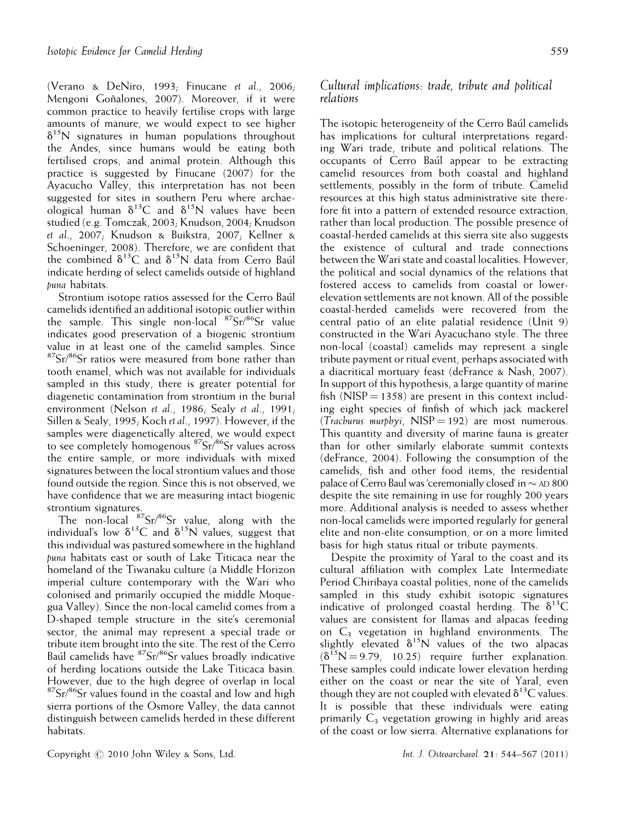(Verano & DeNiro, 1993; Finucane et al., 2006; Mengoni Goñalones, 2007). Moreover, if it were common practice to heavily fertilise crops with large amounts of manure, we would expect to see higher  $\delta^{15}$ N signatures in human populations throughout the Andes, since humans would be eating both fertilised crops, and animal protein. Although this practice is suggested by Finucane (2007) for the Ayacucho Valley, this interpretation has not been suggested for sites in southern Peru where archaeological human  $\delta^{13}$ C and  $\delta^{15}$ N values have been studied (e.g. Tomczak, 2003; Knudson, 2004; Knudson et al., 2007; Knudson & Buikstra, 2007; Kellner & Schoeninger, 2008). Therefore, we are confident that the combined  $\delta^{13}$ C and  $\delta^{15}$ N data from Cerro Baúl indicate herding of select camelids outside of highland puna habitats.

Strontium isotope ratios assessed for the Cerro Baul camelids identified an additional isotopic outlier within the sample. This single non-local  $87Sr/86Sr$  value indicates good preservation of a biogenic strontium value in at least one of the camelid samples. Since  ${}^{87}Sr/{}^{86}Sr$  ratios were measured from bone rather than tooth enamel, which was not available for individuals sampled in this study, there is greater potential for diagenetic contamination from strontium in the burial environment (Nelson et al., 1986; Sealy et al., 1991; Sillen & Sealy, 1995; Koch et al., 1997). However, if the samples were diagenetically altered, we would expect to see completely homogenous <sup>87</sup>Sr/<sup>86</sup>Sr values across the entire sample, or more individuals with mixed signatures between the local strontium values and those found outside the region. Since this is not observed, we have confidence that we are measuring intact biogenic strontium signatures.

The non-local  ${}^{87}Sr/{}^{86}Sr$  value, along with the individual's low  $\delta^{13}$ C and  $\delta^{15}$ N values, suggest that this individual was pastured somewhere in the highland puna habitats east or south of Lake Titicaca near the homeland of the Tiwanaku culture (a Middle Horizon imperial culture contemporary with the Wari who colonised and primarily occupied the middle Moquegua Valley). Since the non-local camelid comes from a D-shaped temple structure in the site's ceremonial sector, the animal may represent a special trade or tribute item brought into the site. The rest of the Cerro Baúl camelids have <sup>87</sup>Sr/<sup>86</sup>Sr values broadly indicative of herding locations outside the Lake Titicaca basin. However, due to the high degree of overlap in local  $87Sr/86Sr$  values found in the coastal and low and high sierra portions of the Osmore Valley, the data cannot distinguish between camelids herded in these different habitats.

### Cultural implications: trade, tribute and political relations

The isotopic heterogeneity of the Cerro Baúl camelids has implications for cultural interpretations regarding Wari trade, tribute and political relations. The occupants of Cerro Baúl appear to be extracting camelid resources from both coastal and highland settlements, possibly in the form of tribute. Camelid resources at this high status administrative site therefore fit into a pattern of extended resource extraction, rather than local production. The possible presence of coastal-herded camelids at this sierra site also suggests the existence of cultural and trade connections between the Wari state and coastal localities. However, the political and social dynamics of the relations that fostered access to camelids from coastal or lowerelevation settlements are not known. All of the possible coastal-herded camelids were recovered from the central patio of an elite palatial residence (Unit 9) constructed in the Wari Ayacuchano style. The three non-local (coastal) camelids may represent a single tribute payment or ritual event, perhaps associated with a diacritical mortuary feast (deFrance & Nash, 2007). In support of this hypothesis, a large quantity of marine fish (NISP = 1358) are present in this context including eight species of finfish of which jack mackerel (Trachurus murphyi, NISP = 192) are most numerous. This quantity and diversity of marine fauna is greater than for other similarly elaborate summit contexts (deFrance, 2004). Following the consumption of the camelids, fish and other food items, the residential palace of Cerro Baul was 'ceremonially closed' in  $\sim$  AD 800 despite the site remaining in use for roughly 200 years more. Additional analysis is needed to assess whether non-local camelids were imported regularly for general elite and non-elite consumption, or on a more limited basis for high status ritual or tribute payments.

Despite the proximity of Yaral to the coast and its cultural affiliation with complex Late Intermediate Period Chiribaya coastal polities, none of the camelids sampled in this study exhibit isotopic signatures indicative of prolonged coastal herding. The  $\delta^{13}$ C values are consistent for llamas and alpacas feeding on  $C_3$  vegetation in highland environments. The slightly elevated  $\delta^{15}N$  values of the two alpacas  $(\delta^{15}N = 9.79, 10.25)$  require further explanation. These samples could indicate lower elevation herding either on the coast or near the site of Yaral, even though they are not coupled with elevated  $\delta^{13}$ C values. It is possible that these individuals were eating primarily  $C_3$  vegetation growing in highly arid areas of the coast or low sierra. Alternative explanations for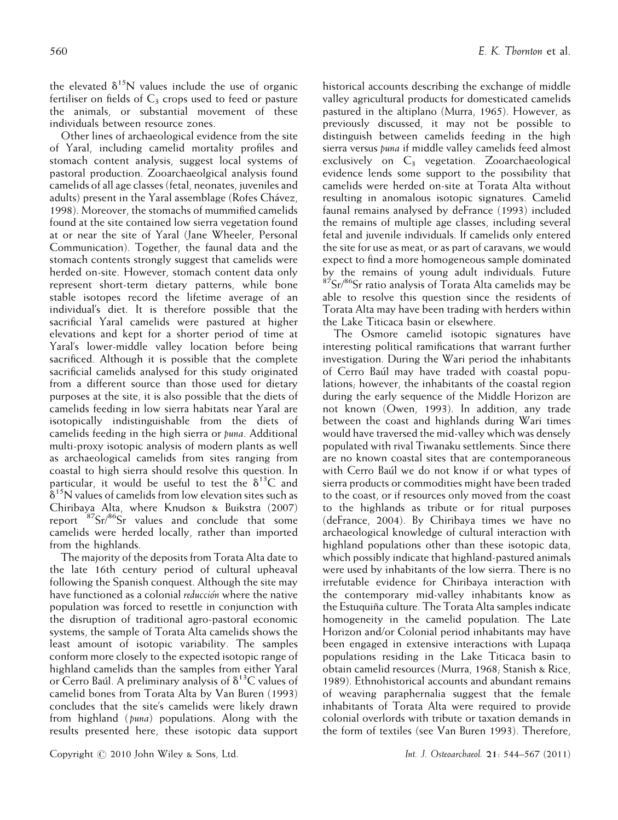the elevated  $\delta^{15}N$  values include the use of organic fertiliser on fields of  $C_3$  crops used to feed or pasture the animals, or substantial movement of these individuals between resource zones.

Other lines of archaeological evidence from the site of Yaral, including camelid mortality profiles and stomach content analysis, suggest local systems of pastoral production. Zooarchaeolgical analysis found camelids of all age classes (fetal, neonates, juveniles and adults) present in the Yaral assemblage (Rofes Chávez, 1998). Moreover, the stomachs of mummified camelids found at the site contained low sierra vegetation found at or near the site of Yaral (Jane Wheeler, Personal Communication). Together, the faunal data and the stomach contents strongly suggest that camelids were herded on-site. However, stomach content data only represent short-term dietary patterns, while bone stable isotopes record the lifetime average of an individual's diet. It is therefore possible that the sacrificial Yaral camelids were pastured at higher elevations and kept for a shorter period of time at Yaral's lower-middle valley location before being sacrificed. Although it is possible that the complete sacrificial camelids analysed for this study originated from a different source than those used for dietary purposes at the site, it is also possible that the diets of camelids feeding in low sierra habitats near Yaral are isotopically indistinguishable from the diets of camelids feeding in the high sierra or puna. Additional multi-proxy isotopic analysis of modern plants as well as archaeological camelids from sites ranging from coastal to high sierra should resolve this question. In particular, it would be useful to test the  $\delta^{13}$ C and  $\delta^{15}$ N values of camelids from low elevation sites such as Chiribaya Alta, where Knudson & Buikstra (2007) report 87Sr/86Sr values and conclude that some camelids were herded locally, rather than imported from the highlands.

The majority of the deposits from Torata Alta date to the late 16th century period of cultural upheaval following the Spanish conquest. Although the site may have functioned as a colonial reducción where the native population was forced to resettle in conjunction with the disruption of traditional agro-pastoral economic systems, the sample of Torata Alta camelids shows the least amount of isotopic variability. The samples conform more closely to the expected isotopic range of highland camelids than the samples from either Yaral or Cerro Baúl. A preliminary analysis of  $\delta^{13}$ C values of camelid bones from Torata Alta by Van Buren (1993) concludes that the site's camelids were likely drawn from highland ( puna) populations. Along with the results presented here, these isotopic data support

historical accounts describing the exchange of middle valley agricultural products for domesticated camelids pastured in the altiplano (Murra, 1965). However, as previously discussed, it may not be possible to distinguish between camelids feeding in the high sierra versus puna if middle valley camelids feed almost exclusively on  $C_3$  vegetation. Zooarchaeological evidence lends some support to the possibility that camelids were herded on-site at Torata Alta without resulting in anomalous isotopic signatures. Camelid faunal remains analysed by deFrance (1993) included the remains of multiple age classes, including several fetal and juvenile individuals. If camelids only entered the site for use as meat, or as part of caravans, we would expect to find a more homogeneous sample dominated by the remains of young adult individuals. Future  $87$ Sr/ $86$ Sr ratio analysis of Torata Alta camelids may be able to resolve this question since the residents of Torata Alta may have been trading with herders within the Lake Titicaca basin or elsewhere.

The Osmore camelid isotopic signatures have interesting political ramifications that warrant further investigation. During the Wari period the inhabitants of Cerro Baúl may have traded with coastal populations; however, the inhabitants of the coastal region during the early sequence of the Middle Horizon are not known (Owen, 1993). In addition, any trade between the coast and highlands during Wari times would have traversed the mid-valley which was densely populated with rival Tiwanaku settlements. Since there are no known coastal sites that are contemporaneous with Cerro Baúl we do not know if or what types of sierra products or commodities might have been traded to the coast, or if resources only moved from the coast to the highlands as tribute or for ritual purposes (deFrance, 2004). By Chiribaya times we have no archaeological knowledge of cultural interaction with highland populations other than these isotopic data, which possibly indicate that highland-pastured animals were used by inhabitants of the low sierra. There is no irrefutable evidence for Chiribaya interaction with the contemporary mid-valley inhabitants know as the Estuquiña culture. The Torata Alta samples indicate homogeneity in the camelid population. The Late Horizon and/or Colonial period inhabitants may have been engaged in extensive interactions with Lupaqa populations residing in the Lake Titicaca basin to obtain camelid resources (Murra, 1968; Stanish & Rice, 1989). Ethnohistorical accounts and abundant remains of weaving paraphernalia suggest that the female inhabitants of Torata Alta were required to provide colonial overlords with tribute or taxation demands in the form of textiles (see Van Buren 1993). Therefore,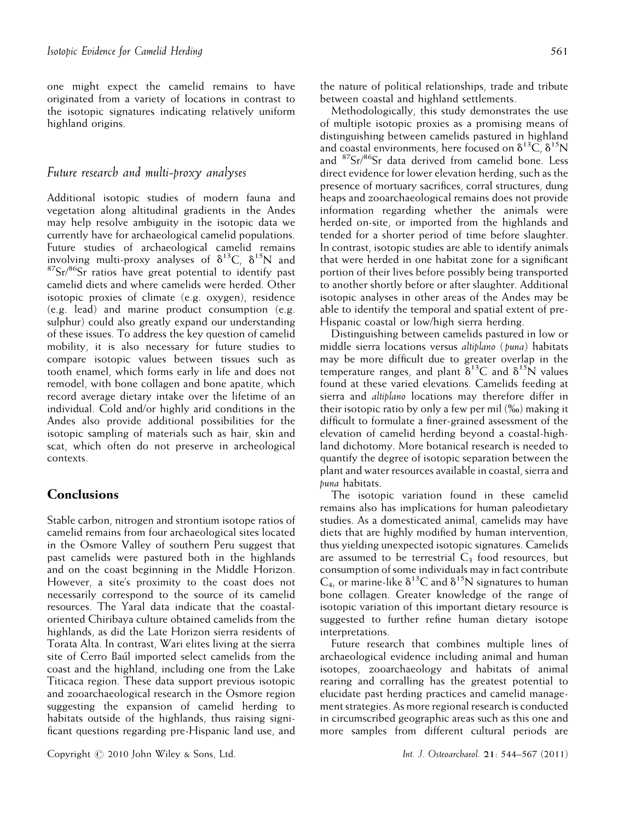one might expect the camelid remains to have originated from a variety of locations in contrast to the isotopic signatures indicating relatively uniform highland origins.

### Future research and multi-proxy analyses

Additional isotopic studies of modern fauna and vegetation along altitudinal gradients in the Andes may help resolve ambiguity in the isotopic data we currently have for archaeological camelid populations. Future studies of archaeological camelid remains involving multi-proxy analyses of  $\delta^{13}C$ ,  $\delta^{15}N$  and  ${}^{87}Sr/{}^{86}Sr$  ratios have great potential to identify past camelid diets and where camelids were herded. Other isotopic proxies of climate (e.g. oxygen), residence (e.g. lead) and marine product consumption (e.g. sulphur) could also greatly expand our understanding of these issues. To address the key question of camelid mobility, it is also necessary for future studies to compare isotopic values between tissues such as tooth enamel, which forms early in life and does not remodel, with bone collagen and bone apatite, which record average dietary intake over the lifetime of an individual. Cold and/or highly arid conditions in the Andes also provide additional possibilities for the isotopic sampling of materials such as hair, skin and scat, which often do not preserve in archeological contexts.

### **Conclusions**

Stable carbon, nitrogen and strontium isotope ratios of camelid remains from four archaeological sites located in the Osmore Valley of southern Peru suggest that past camelids were pastured both in the highlands and on the coast beginning in the Middle Horizon. However, a site's proximity to the coast does not necessarily correspond to the source of its camelid resources. The Yaral data indicate that the coastaloriented Chiribaya culture obtained camelids from the highlands, as did the Late Horizon sierra residents of Torata Alta. In contrast, Wari elites living at the sierra site of Cerro Baúl imported select camelids from the coast and the highland, including one from the Lake Titicaca region. These data support previous isotopic and zooarchaeological research in the Osmore region suggesting the expansion of camelid herding to habitats outside of the highlands, thus raising significant questions regarding pre-Hispanic land use, and

Copyright  $\odot$  2010 John Wiley & Sons, Ltd. Int. J. Osteoarchaeol. 21: 544–567 (2011)

the nature of political relationships, trade and tribute between coastal and highland settlements.

Methodologically, this study demonstrates the use of multiple isotopic proxies as a promising means of distinguishing between camelids pastured in highland and coastal environments, here focused on  $\delta^{13}C$ ,  $\delta^{15}N$ and 87Sr/86Sr data derived from camelid bone. Less direct evidence for lower elevation herding, such as the presence of mortuary sacrifices, corral structures, dung heaps and zooarchaeological remains does not provide information regarding whether the animals were herded on-site, or imported from the highlands and tended for a shorter period of time before slaughter. In contrast, isotopic studies are able to identify animals that were herded in one habitat zone for a significant portion of their lives before possibly being transported to another shortly before or after slaughter. Additional isotopic analyses in other areas of the Andes may be able to identify the temporal and spatial extent of pre-Hispanic coastal or low/high sierra herding.

Distinguishing between camelids pastured in low or middle sierra locations versus altiplano ( puna) habitats may be more difficult due to greater overlap in the temperature ranges, and plant  $\delta^{13}$ C and  $\delta^{15}$ N values found at these varied elevations. Camelids feeding at sierra and altiplano locations may therefore differ in their isotopic ratio by only a few per mil  $(\%$ <sub>0</sub>) making it difficult to formulate a finer-grained assessment of the elevation of camelid herding beyond a coastal-highland dichotomy. More botanical research is needed to quantify the degree of isotopic separation between the plant and water resources available in coastal, sierra and puna habitats.

The isotopic variation found in these camelid remains also has implications for human paleodietary studies. As a domesticated animal, camelids may have diets that are highly modified by human intervention, thus yielding unexpected isotopic signatures. Camelids are assumed to be terrestrial  $C_3$  food resources, but consumption of some individuals may in fact contribute  $C_{4}$ , or marine-like  $\delta^{13}$ C and  $\delta^{15}$ N signatures to human bone collagen. Greater knowledge of the range of isotopic variation of this important dietary resource is suggested to further refine human dietary isotope interpretations.

Future research that combines multiple lines of archaeological evidence including animal and human isotopes, zooarchaeology and habitats of animal rearing and corralling has the greatest potential to elucidate past herding practices and camelid management strategies. As more regional research is conducted in circumscribed geographic areas such as this one and more samples from different cultural periods are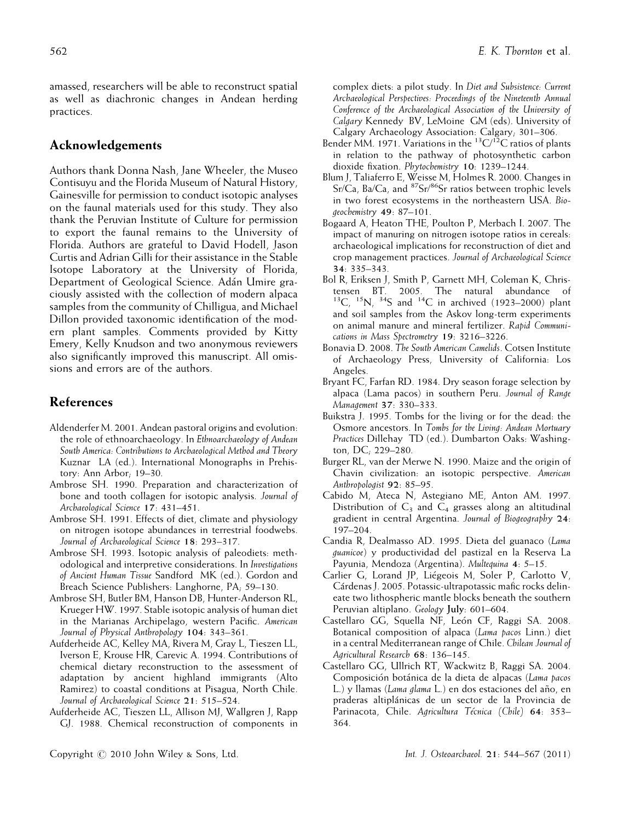amassed, researchers will be able to reconstruct spatial as well as diachronic changes in Andean herding practices.

# Acknowledgements

Authors thank Donna Nash, Jane Wheeler, the Museo Contisuyu and the Florida Museum of Natural History, Gainesville for permission to conduct isotopic analyses on the faunal materials used for this study. They also thank the Peruvian Institute of Culture for permission to export the faunal remains to the University of Florida. Authors are grateful to David Hodell, Jason Curtis and Adrian Gilli for their assistance in the Stable Isotope Laboratory at the University of Florida, Department of Geological Science. Adán Umire graciously assisted with the collection of modern alpaca samples from the community of Chilligua, and Michael Dillon provided taxonomic identification of the modern plant samples. Comments provided by Kitty Emery, Kelly Knudson and two anonymous reviewers also significantly improved this manuscript. All omissions and errors are of the authors.

# References

- Aldenderfer M. 2001. Andean pastoral origins and evolution: the role of ethnoarchaeology. In Ethnoarchaeology of Andean South America: Contributions to Archaeological Method and Theory Kuznar LA (ed.). International Monographs in Prehistory: Ann Arbor; 19–30.
- Ambrose SH. 1990. Preparation and characterization of bone and tooth collagen for isotopic analysis. Journal of Archaeological Science 17: 431–451.
- Ambrose SH. 1991. Effects of diet, climate and physiology on nitrogen isotope abundances in terrestrial foodwebs. Journal of Archaeological Science 18: 293–317.
- Ambrose SH. 1993. Isotopic analysis of paleodiets: methodological and interpretive considerations. In Investigations of Ancient Human Tissue Sandford MK (ed.). Gordon and Breach Science Publishers: Langhorne, PA; 59–130.
- Ambrose SH, Butler BM, Hanson DB, Hunter-Anderson RL, Krueger HW. 1997. Stable isotopic analysis of human diet in the Marianas Archipelago, western Pacific. American Journal of Physical Anthropology 104: 343–361.
- Aufderheide AC, Kelley MA, Rivera M, Gray L, Tieszen LL, Iverson E, Krouse HR, Carevic A. 1994. Contributions of chemical dietary reconstruction to the assessment of adaptation by ancient highland immigrants (Alto Ramirez) to coastal conditions at Pisagua, North Chile. Journal of Archaeological Science 21: 515–524.
- Aufderheide AC, Tieszen LL, Allison MJ, Wallgren J, Rapp GJ. 1988. Chemical reconstruction of components in

complex diets: a pilot study. In Diet and Subsistence: Current Archaeological Perspectives: Proceedings of the Nineteenth Annual Conference of the Archaeological Association of the University of Calgary Kennedy BV, LeMoine GM (eds). University of Calgary Archaeology Association: Calgary; 301–306.

- Bender MM. 1971. Variations in the  ${}^{13}C/{}^{12}C$  ratios of plants in relation to the pathway of photosynthetic carbon dioxide fixation. Phytochemistry 10: 1239–1244.
- Blum J, Taliaferro E, Weisse M, Holmes R. 2000. Changes in Sr/Ca, Ba/Ca, and 87Sr/86Sr ratios between trophic levels in two forest ecosystems in the northeastern USA. Biogeochemistry  $49: 87-101$ .
- Bogaard A, Heaton THE, Poulton P, Merbach I. 2007. The impact of manuring on nitrogen isotope ratios in cereals: archaeological implications for reconstruction of diet and crop management practices. Journal of Archaeological Science 34: 335–343.
- Bol R, Eriksen J, Smith P, Garnett MH, Coleman K, Christensen BT. 2005. The natural abundance of  $^{13}$ C,  $^{15}$ N,  $^{34}$ S and  $^{14}$ C in archived (1923–2000) plant and soil samples from the Askov long-term experiments on animal manure and mineral fertilizer. Rapid Communications in Mass Spectrometry 19: 3216–3226.
- Bonavia D. 2008. The South American Camelids. Cotsen Institute of Archaeology Press, University of California: Los Angeles.
- Bryant FC, Farfan RD. 1984. Dry season forage selection by alpaca (Lama pacos) in southern Peru. Journal of Range Management 37: 330–333.
- Buikstra J. 1995. Tombs for the living or for the dead: the Osmore ancestors. In Tombs for the Living: Andean Mortuary Practices Dillehay TD (ed.). Dumbarton Oaks: Washington, DC; 229–280.
- Burger RL, van der Merwe N. 1990. Maize and the origin of Chavin civilization: an isotopic perspective. American Anthropologist 92: 85–95.
- Cabido M, Ateca N, Astegiano ME, Anton AM. 1997. Distribution of  $C_3$  and  $C_4$  grasses along an altitudinal gradient in central Argentina. Journal of Biogeography 24: 197–204.
- Candia R, Dealmasso AD. 1995. Dieta del guanaco (Lama guanicoe) y productividad del pastizal en la Reserva La Payunia, Mendoza (Argentina). Multequina 4: 5–15.
- Carlier G, Lorand JP, Liégeois M, Soler P, Carlotto V, Cárdenas J. 2005. Potassic-ultrapotassic mafic rocks delineate two lithospheric mantle blocks beneath the southern Peruvian altiplano. Geology July: 601-604.
- Castellaro GG, Squella NF, León CF, Raggi SA. 2008. Botanical composition of alpaca (Lama pacos Linn.) diet in a central Mediterranean range of Chile. Chilean Journal of Agricultural Research 68: 136–145.
- Castellaro GG, Ullrich RT, Wackwitz B, Raggi SA. 2004. Composición botánica de la dieta de alpacas (Lama pacos L.) y llamas (Lama glama L.) en dos estaciones del año, en praderas altiplánicas de un sector de la Provincia de Parinacota, Chile. Agricultura Técnica (Chile) 64: 353-364.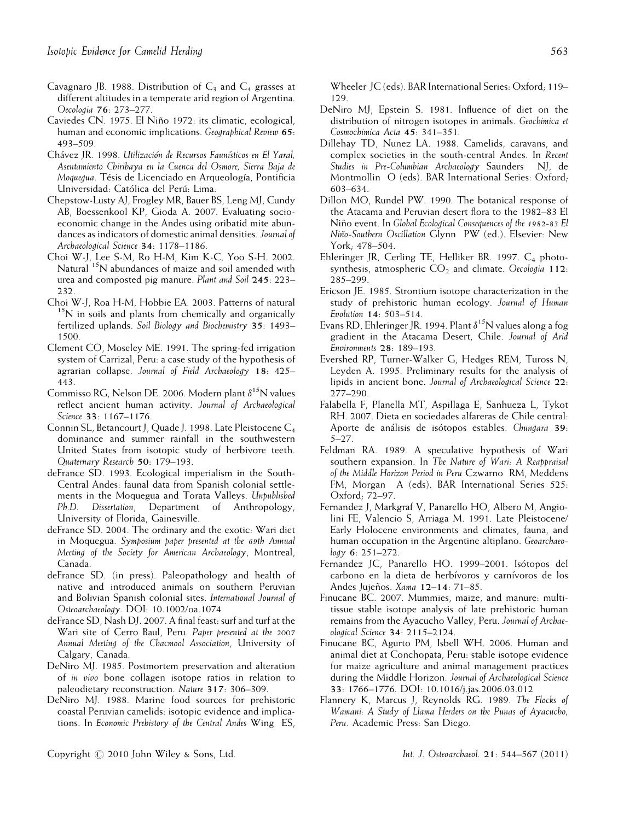- Cavagnaro JB. 1988. Distribution of  $C_3$  and  $C_4$  grasses at different altitudes in a temperate arid region of Argentina. Oecologia 76: 273–277.
- Caviedes CN. 1975. El Niño 1972: its climatic, ecological, human and economic implications. Geographical Review 65: 493–509.
- Chávez JR. 1998. Utilización de Recursos Faunísticos en El Yaral, Asentamiento Chiribaya en la Cuenca del Osmore, Sierra Baja de Moduedua. Tésis de Licenciado en Arqueología, Pontificia Universidad: Católica del Perú: Lima.
- Chepstow-Lusty AJ, Frogley MR, Bauer BS, Leng MJ, Cundy AB, Boessenkool KP, Gioda A. 2007. Evaluating socioeconomic change in the Andes using oribatid mite abundances as indicators of domestic animal densities. Journal of Archaeological Science 34: 1178–1186.
- Choi W-J, Lee S-M, Ro H-M, Kim K-C, Yoo S-H. 2002. Natural <sup>15</sup>N abundances of maize and soil amended with urea and composted pig manure. Plant and Soil 245: 223– 232.
- Choi W-J, Roa H-M, Hobbie EA. 2003. Patterns of natural  $^{15}N$  in soils and plants from chemically and organically fertilized uplands. Soil Biology and Biochemistry 35: 1493– 1500.
- Clement CO, Moseley ME. 1991. The spring-fed irrigation system of Carrizal, Peru: a case study of the hypothesis of agrarian collapse. Journal of Field Archaeology 18: 425– 443.
- Commisso RG, Nelson DE. 2006. Modern plant  $\delta^{15}N$  values reflect ancient human activity. Journal of Archaeological Science 33: 1167–1176.
- Connin SL, Betancourt J, Quade J. 1998. Late Pleistocene C4 dominance and summer rainfall in the southwestern United States from isotopic study of herbivore teeth. Quaternary Research 50: 179–193.
- deFrance SD. 1993. Ecological imperialism in the South-Central Andes: faunal data from Spanish colonial settlements in the Moquegua and Torata Valleys. Unpublished Ph.D. Dissertation, Department of Anthropology, University of Florida, Gainesville.
- deFrance SD. 2004. The ordinary and the exotic: Wari diet in Moquegua. Symposium paper presented at the 69th Annual Meeting of the Society for American Archaeology, Montreal, Canada.
- deFrance SD. (in press). Paleopathology and health of native and introduced animals on southern Peruvian and Bolivian Spanish colonial sites. International Journal of Osteoarchaeology. DOI: 10.1002/oa.1074
- deFrance SD, Nash DJ. 2007. A final feast: surf and turf at the Wari site of Cerro Baul, Peru. Paper presented at the 2007 Annual Meeting of the Chacmool Association, University of Calgary, Canada.
- DeNiro MJ. 1985. Postmortem preservation and alteration of in vivo bone collagen isotope ratios in relation to paleodietary reconstruction. Nature 317: 306–309.
- DeNiro MJ. 1988. Marine food sources for prehistoric coastal Peruvian camelids: isotopic evidence and implications. In Economic Prehistory of the Central Andes Wing ES,

Wheeler JC (eds). BAR International Series: Oxford; 119– 129.

- DeNiro MJ, Epstein S. 1981. Influence of diet on the distribution of nitrogen isotopes in animals. Geochimica et Cosmochimica Acta 45: 341–351.
- Dillehay TD, Nunez LA. 1988. Camelids, caravans, and complex societies in the south-central Andes. In Recent Studies in Pre-Columbian Archaeology Saunders NJ, de Montmollin O (eds). BAR International Series: Oxford; 603–634.
- Dillon MO, Rundel PW. 1990. The botanical response of the Atacama and Peruvian desert flora to the 1982–83 El Niño event. In Global Ecological Consequences of the 1982-83 El Nin˜o-Southern Oscillation Glynn PW (ed.). Elsevier: New York; 478–504.
- Ehleringer JR, Cerling TE, Helliker BR. 1997.  $C_4$  photosynthesis, atmospheric  $CO<sub>2</sub>$  and climate. Oecologia 112: 285–299.
- Ericson JE. 1985. Strontium isotope characterization in the study of prehistoric human ecology. Journal of Human Evolution 14: 503–514.
- Evans RD, Ehleringer JR. 1994. Plant  $\delta^{15}$ N values along a fog gradient in the Atacama Desert, Chile. Journal of Arid Environments 28: 189–193.
- Evershed RP, Turner-Walker G, Hedges REM, Tuross N, Leyden A. 1995. Preliminary results for the analysis of lipids in ancient bone. Journal of Archaeological Science 22: 277–290.
- Falabella F, Planella MT, Aspillaga E, Sanhueza L, Tykot RH. 2007. Dieta en sociedades alfareras de Chile central: Aporte de análisis de isótopos estables. Chungara 39: 5–27.
- Feldman RA. 1989. A speculative hypothesis of Wari southern expansion. In The Nature of Wari: A Reappraisal of the Middle Horizon Period in Peru Czwarno RM, Meddens FM, Morgan A (eds). BAR International Series 525: Oxford; 72–97.
- Fernandez J, Markgraf V, Panarello HO, Albero M, Angiolini FE, Valencio S, Arriaga M. 1991. Late Pleistocene/ Early Holocene environments and climates, fauna, and human occupation in the Argentine altiplano. Geoarchaeology 6: 251–272.
- Fernandez JC, Panarello HO. 1999-2001. Isótopos del carbono en la dieta de herbívoros y carnívoros de los Andes Jujeños. Xama 12-14: 71-85.
- Finucane BC. 2007. Mummies, maize, and manure: multitissue stable isotope analysis of late prehistoric human remains from the Ayacucho Valley, Peru. Journal of Archaeological Science 34: 2115–2124.
- Finucane BC, Agurto PM, Isbell WH. 2006. Human and animal diet at Conchopata, Peru: stable isotope evidence for maize agriculture and animal management practices during the Middle Horizon. Journal of Archaeological Science 33: 1766–1776. DOI: 10.1016/j.jas.2006.03.012
- Flannery K, Marcus J, Reynolds RG. 1989. The Flocks of Wamani: A Study of Llama Herders on the Punas of Ayacucho, Peru. Academic Press: San Diego.

Copyright © 2010 John Wiley & Sons, Ltd. Int. J. Osteoarchaeol. 21: 544–567 (2011)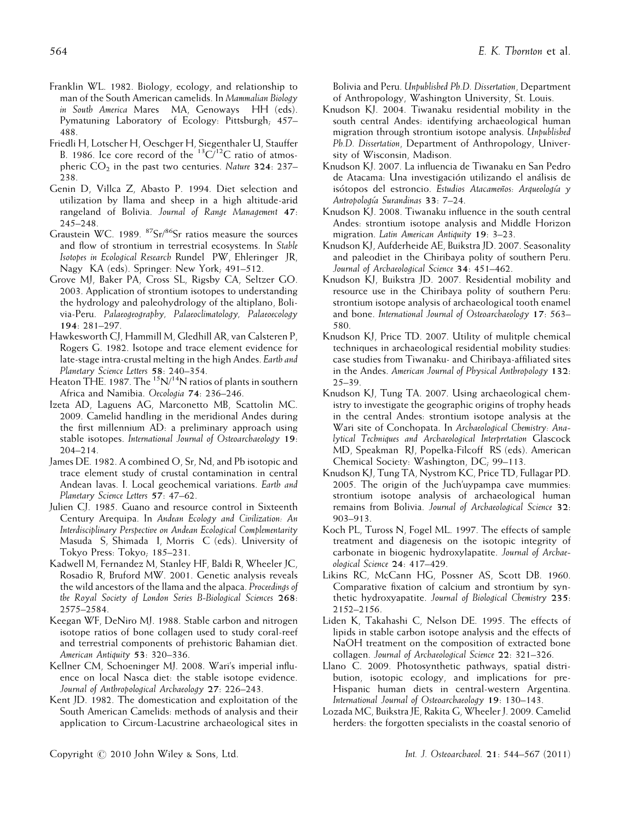- Franklin WL. 1982. Biology, ecology, and relationship to man of the South American camelids. In Mammalian Biology in South America Mares MA, Genoways HH (eds). Pymatuning Laboratory of Ecology: Pittsburgh; 457– 488.
- Friedli H, Lotscher H, Oeschger H, Siegenthaler U, Stauffer B. 1986. Ice core record of the  $13\text{C}/12\text{C}$  ratio of atmospheric  $CO<sub>2</sub>$  in the past two centuries. Nature 324: 237– 238.
- Genin D, Villca Z, Abasto P. 1994. Diet selection and utilization by llama and sheep in a high altitude-arid rangeland of Bolivia. Journal of Range Management 47: 245–248.
- Graustein WC. 1989. 87Sr/86Sr ratios measure the sources and flow of strontium in terrestrial ecosystems. In Stable Isotopes in Ecological Research Rundel PW, Ehleringer JR, Nagy KA (eds). Springer: New York; 491–512.
- Grove MJ, Baker PA, Cross SL, Rigsby CA, Seltzer GO. 2003. Application of strontium isotopes to understanding the hydrology and paleohydrology of the altiplano, Bolivia-Peru. Palaeogeography, Palaeoclimatology, Palaeoecology 194: 281–297.
- Hawkesworth CJ, Hammill M, Gledhill AR, van Calsteren P, Rogers G. 1982. Isotope and trace element evidence for late-stage intra-crustal melting in the high Andes. Earth and Planetary Science Letters 58: 240–354.
- Heaton THE. 1987. The  $15N/14N$  ratios of plants in southern Africa and Namibia. Oecologia 74: 236–246.
- Izeta AD, Laguens AG, Marconetto MB, Scattolin MC. 2009. Camelid handling in the meridional Andes during the first millennium AD: a preliminary approach using stable isotopes. International Journal of Osteoarchaeology 19: 204–214.
- James DE. 1982. A combined O, Sr, Nd, and Pb isotopic and trace element study of crustal contamination in central Andean lavas. I. Local geochemical variations. Earth and Planetary Science Letters 57: 47–62.
- Julien CJ. 1985. Guano and resource control in Sixteenth Century Arequipa. In Andean Ecology and Civilization: An Interdisciplinary Perspective on Andean Ecological Complementarity Masuda S, Shimada I, Morris C (eds). University of Tokyo Press: Tokyo; 185–231.
- Kadwell M, Fernandez M, Stanley HF, Baldi R, Wheeler JC, Rosadio R, Bruford MW. 2001. Genetic analysis reveals the wild ancestors of the llama and the alpaca. Proceedings of the Royal Society of London Series B-Biological Sciences 268: 2575–2584.
- Keegan WF, DeNiro MJ. 1988. Stable carbon and nitrogen isotope ratios of bone collagen used to study coral-reef and terrestrial components of prehistoric Bahamian diet. American Antiquity 53: 320–336.
- Kellner CM, Schoeninger MJ. 2008. Wari's imperial influence on local Nasca diet: the stable isotope evidence. Journal of Anthropological Archaeology 27: 226–243.
- Kent JD. 1982. The domestication and exploitation of the South American Camelids: methods of analysis and their application to Circum-Lacustrine archaeological sites in

Bolivia and Peru. Unpublished Ph.D. Dissertation, Department of Anthropology, Washington University, St. Louis.

- Knudson KJ. 2004. Tiwanaku residential mobility in the south central Andes: identifying archaeological human migration through strontium isotope analysis. Unpublished Ph.D. Dissertation, Department of Anthropology, University of Wisconsin, Madison.
- Knudson KJ. 2007. La influencia de Tiwanaku en San Pedro de Atacama: Una investigación utilizando el análisis de isótopos del estroncio. Estudios Atacameños: Arqueología y Antropología Surandinas 33: 7-24.
- Knudson KJ. 2008. Tiwanaku influence in the south central Andes: strontium isotope analysis and Middle Horizon migration. Latin American Antiquity 19: 3–23.
- Knudson KJ, Aufderheide AE, Buikstra JD. 2007. Seasonality and paleodiet in the Chiribaya polity of southern Peru. Journal of Archaeological Science 34: 451–462.
- Knudson KJ, Buikstra JD. 2007. Residential mobility and resource use in the Chiribaya polity of southern Peru: strontium isotope analysis of archaeological tooth enamel and bone. International Journal of Osteoarchaeology 17: 563– 580.
- Knudson KJ, Price TD. 2007. Utility of mulitple chemical techniques in archaeological residential mobility studies: case studies from Tiwanaku- and Chiribaya-affiliated sites in the Andes. American Journal of Physical Anthropology 132: 25–39.
- Knudson KJ, Tung TA. 2007. Using archaeological chemistry to investigate the geographic origins of trophy heads in the central Andes: strontium isotope analysis at the Wari site of Conchopata. In Archaeological Chemistry: Analytical Techniques and Archaeological Interpretation Glascock MD, Speakman RJ, Popelka-Filcoff RS (eds). American Chemical Society: Washington, DC; 99–113.
- Knudson KJ, Tung TA, Nystrom KC, Price TD, Fullagar PD. 2005. The origin of the Juch'uypampa cave mummies: strontium isotope analysis of archaeological human remains from Bolivia. Journal of Archaeological Science 32: 903–913.
- Koch PL, Tuross N, Fogel ML. 1997. The effects of sample treatment and diagenesis on the isotopic integrity of carbonate in biogenic hydroxylapatite. Journal of Archaeological Science 24: 417–429.
- Likins RC, McCann HG, Possner AS, Scott DB. 1960. Comparative fixation of calcium and strontium by synthetic hydroxyapatite. Journal of Biological Chemistry 235: 2152–2156.
- Liden K, Takahashi C, Nelson DE. 1995. The effects of lipids in stable carbon isotope analysis and the effects of NaOH treatment on the composition of extracted bone collagen. Journal of Archaeological Science 22: 321–326.
- Llano C. 2009. Photosynthetic pathways, spatial distribution, isotopic ecology, and implications for pre-Hispanic human diets in central-western Argentina. International Journal of Osteoarchaeology 19: 130–143.
- Lozada MC, Buikstra JE, Rakita G, Wheeler J. 2009. Camelid herders: the forgotten specialists in the coastal senorio of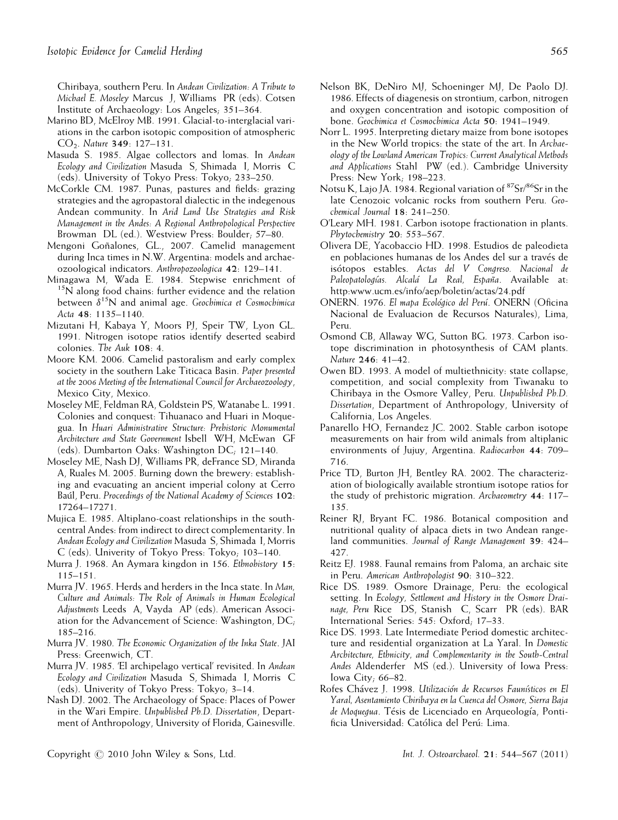Chiribaya, southern Peru. In Andean Civilization: A Tribute to Michael E. Moseley Marcus J, Williams PR (eds). Cotsen Institute of Archaeology: Los Angeles; 351–364.

- Marino BD, McElroy MB. 1991. Glacial-to-interglacial variations in the carbon isotopic composition of atmospheric CO<sub>2</sub>. Nature 349: 127-131.
- Masuda S. 1985. Algae collectors and lomas. In Andean Ecology and Civilization Masuda S, Shimada I, Morris C (eds). University of Tokyo Press: Tokyo; 233–250.
- McCorkle CM. 1987. Punas, pastures and fields: grazing strategies and the agropastoral dialectic in the indegenous Andean community. In Arid Land Use Strategies and Risk Management in the Andes: A Regional Anthropological Perspective Browman DL (ed.). Westview Press: Boulder; 57–80.
- Mengoni Goñalones, GL., 2007. Camelid management during Inca times in N.W. Argentina: models and archaeozoological indicators. Anthropozoologica 42: 129–141.
- Minagawa M, Wada E. 1984. Stepwise enrichment of  $15N$  along food chains: further evidence and the relation between  $\delta^{15}N$  and animal age. Geochimica et Cosmochimica Acta 48: 1135–1140.
- Mizutani H, Kabaya Y, Moors PJ, Speir TW, Lyon GL. 1991. Nitrogen isotope ratios identify deserted seabird colonies. The Auk 108: 4.
- Moore KM. 2006. Camelid pastoralism and early complex society in the southern Lake Titicaca Basin. Paper presented at the 2006 Meeting of the International Council for Archaeozoology, Mexico City, Mexico.
- Moseley ME, Feldman RA, Goldstein PS, Watanabe L. 1991. Colonies and conquest: Tihuanaco and Huari in Moquegua. In Huari Administrative Structure: Prehistoric Monumental Architecture and State Government Isbell WH, McEwan GF (eds). Dumbarton Oaks: Washington DC; 121–140.
- Moseley ME, Nash DJ, Williams PR, deFrance SD, Miranda A, Ruales M. 2005. Burning down the brewery: establishing and evacuating an ancient imperial colony at Cerro Baúl, Peru. Proceedings of the National Academy of Sciences 102: 17264–17271.
- Mujica E. 1985. Altiplano-coast relationships in the southcentral Andes: from indirect to direct complementarity. In Andean Ecology and Civilization Masuda S, Shimada I, Morris C (eds). Univerity of Tokyo Press: Tokyo; 103–140.
- Murra J. 1968. An Aymara kingdon in 156. Ethnohistory 15: 115–151.
- Murra JV. 1965. Herds and herders in the Inca state. In Man, Culture and Animals: The Role of Animals in Human Ecological Adjustments Leeds A, Vayda AP (eds). American Association for the Advancement of Science: Washington, DC; 185–216.
- Murra JV. 1980. The Economic Organization of the Inka State. JAI Press: Greenwich, CT.
- Murra JV. 1985. 'El archipelago vertical' revisited. In Andean Ecology and Civilization Masuda S, Shimada I, Morris C (eds). Univerity of Tokyo Press: Tokyo; 3–14.
- Nash DJ. 2002. The Archaeology of Space: Places of Power in the Wari Empire. Unpublished Ph.D. Dissertation, Department of Anthropology, University of Florida, Gainesville.
- Nelson BK, DeNiro MJ, Schoeninger MJ, De Paolo DJ. 1986. Effects of diagenesis on strontium, carbon, nitrogen and oxygen concentration and isotopic composition of bone. Geochimica et Cosmochimica Acta 50: 1941–1949.
- Norr L. 1995. Interpreting dietary maize from bone isotopes in the New World tropics: the state of the art. In Archaeology of the Lowland American Tropics: Current Analytical Methods and Applications Stahl PW (ed.). Cambridge University Press: New York; 198–223.
- Notsu K, Lajo JA. 1984. Regional variation of 87Sr/86Sr in the late Cenozoic volcanic rocks from southern Peru. Geochemical Journal 18: 241–250.
- O'Leary MH. 1981. Carbon isotope fractionation in plants. Phytochemistry 20: 553–567.
- Olivera DE, Yacobaccio HD. 1998. Estudios de paleodieta en poblaciones humanas de los Andes del sur a través de isótopos estables. Actas del V Congreso. Nacional de Paleopatologías. Alcalá La Real, España. Available at: http:www.ucm.es/info/aep/boletin/actas/24.pdf
- ONERN. 1976. El mapa Ecológico del Perú. ONERN (Oficina Nacional de Evaluacion de Recursos Naturales), Lima, Peru.
- Osmond CB, Allaway WG, Sutton BG. 1973. Carbon isotope discrimination in photosynthesis of CAM plants. Nature 246: 41–42.
- Owen BD. 1993. A model of multiethnicity: state collapse, competition, and social complexity from Tiwanaku to Chiribaya in the Osmore Valley, Peru. Unpublished Ph.D. Dissertation, Department of Anthropology, University of California, Los Angeles.
- Panarello HO, Fernandez JC. 2002. Stable carbon isotope measurements on hair from wild animals from altiplanic environments of Jujuy, Argentina. Radiocarbon 44: 709– 716.
- Price TD, Burton JH, Bentley RA. 2002. The characterization of biologically available strontium isotope ratios for the study of prehistoric migration. Archaeometry 44: 117-135.
- Reiner RJ, Bryant FC. 1986. Botanical composition and nutritional quality of alpaca diets in two Andean rangeland communities. Journal of Range Management 39: 424– 427.
- Reitz EJ. 1988. Faunal remains from Paloma, an archaic site in Peru. American Anthropologist 90: 310–322.
- Rice DS. 1989. Osmore Drainage, Peru: the ecological setting. In Ecology, Settlement and History in the Osmore Drainage, Peru Rice DS, Stanish C, Scarr PR (eds). BAR International Series: 545: Oxford; 17–33.
- Rice DS. 1993. Late Intermediate Period domestic architecture and residential organization at La Yaral. In Domestic Architecture, Ethnicity, and Complementarity in the South-Central Andes Aldenderfer MS (ed.). University of Iowa Press: Iowa City; 66–82.
- Rofes Chávez J. 1998. Utilización de Recursos Faunísticos en El Yaral, Asentamiento Chiribaya en la Cuenca del Osmore, Sierra Baja de Moquequa. Tésis de Licenciado en Arqueología, Pontificia Universidad: Católica del Perú: Lima.

Copyright © 2010 John Wiley & Sons, Ltd. Int. J. Osteoarchaeol. 21: 544–567 (2011)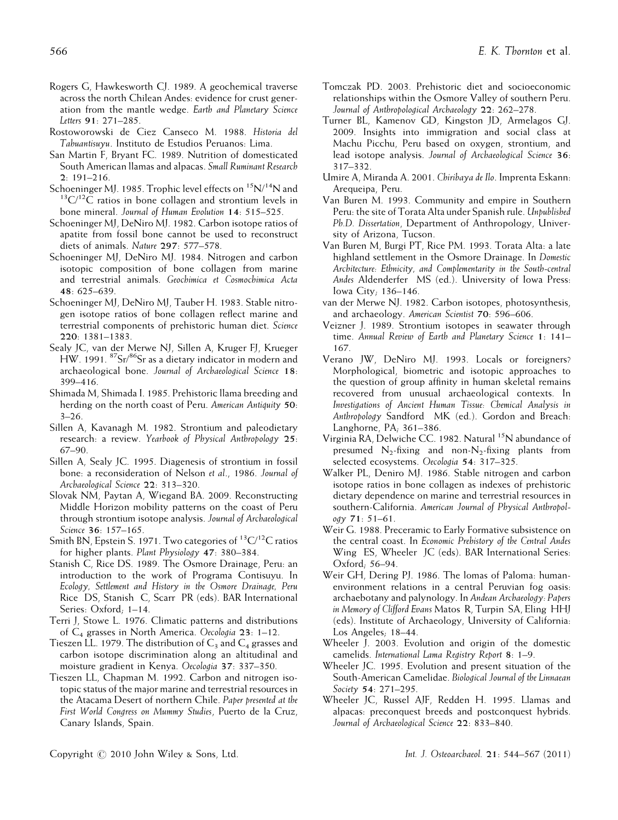- Rogers G, Hawkesworth CJ. 1989. A geochemical traverse across the north Chilean Andes: evidence for crust generation from the mantle wedge. Earth and Planetary Science Letters 91: 271–285.
- Rostoworowski de Ciez Canseco M. 1988. Historia del Tahuantisuyu. Instituto de Estudios Peruanos: Lima.
- San Martin F, Bryant FC. 1989. Nutrition of domesticated South American llamas and alpacas. Small Ruminant Research 2: 191–216.
- Schoeninger MJ. 1985. Trophic level effects on  $15N/14N$  and  $13C/12C$  ratios in bone collagen and strontium levels in bone mineral. Journal of Human Evolution 14: 515–525.
- Schoeninger MJ, DeNiro MJ. 1982. Carbon isotope ratios of apatite from fossil bone cannot be used to reconstruct diets of animals. Nature 297: 577–578.
- Schoeninger MJ, DeNiro MJ. 1984. Nitrogen and carbon isotopic composition of bone collagen from marine and terrestrial animals. Geochimica et Cosmochimica Acta 48: 625–639.
- Schoeninger MJ, DeNiro MJ, Tauber H. 1983. Stable nitrogen isotope ratios of bone collagen reflect marine and terrestrial components of prehistoric human diet. Science 220: 1381–1383.
- Sealy JC, van der Merwe NJ, Sillen A, Kruger FJ, Krueger HW. 1991. <sup>87</sup>Sr/<sup>86</sup>Sr as a dietary indicator in modern and archaeological bone. Journal of Archaeological Science 18: 399–416.
- Shimada M, Shimada I. 1985. Prehistoric llama breeding and herding on the north coast of Peru. American Antiquity 50: 3–26.
- Sillen A, Kavanagh M. 1982. Strontium and paleodietary research: a review. Yearbook of Physical Anthropology 25: 67–90.
- Sillen A, Sealy JC. 1995. Diagenesis of strontium in fossil bone: a reconsideration of Nelson et al., 1986. Journal of Archaeological Science 22: 313–320.
- Slovak NM, Paytan A, Wiegand BA. 2009. Reconstructing Middle Horizon mobility patterns on the coast of Peru through strontium isotope analysis. Journal of Archaeological Science 36: 157–165.
- Smith BN, Epstein S. 1971. Two categories of  ${}^{13}C/{}^{12}C$  ratios for higher plants. Plant Physiology 47: 380–384.
- Stanish C, Rice DS. 1989. The Osmore Drainage, Peru: an introduction to the work of Programa Contisuyu. In Ecology, Settlement and History in the Osmore Drainage, Peru Rice DS, Stanish C, Scarr PR (eds). BAR International Series: Oxford; 1–14.
- Terri J, Stowe L. 1976. Climatic patterns and distributions of C4 grasses in North America. Oecologia 23: 1–12.
- Tieszen LL. 1979. The distribution of  $C_3$  and  $C_4$  grasses and carbon isotope discrimination along an altitudinal and moisture gradient in Kenya. Oecologia 37: 337–350.
- Tieszen LL, Chapman M. 1992. Carbon and nitrogen isotopic status of the major marine and terrestrial resources in the Atacama Desert of northern Chile. Paper presented at the First World Congress on Mummy Studies, Puerto de la Cruz, Canary Islands, Spain.
- Tomczak PD. 2003. Prehistoric diet and socioeconomic relationships within the Osmore Valley of southern Peru. Journal of Anthropological Archaeology 22: 262–278.
- Turner BL, Kamenov GD, Kingston JD, Armelagos GJ. 2009. Insights into immigration and social class at Machu Picchu, Peru based on oxygen, strontium, and lead isotope analysis. Journal of Archaeological Science 36: 317–332.
- Umire A, Miranda A. 2001. Chiribaya de Ilo. Imprenta Eskann: Arequeipa, Peru.
- Van Buren M. 1993. Community and empire in Southern Peru: the site of Torata Alta under Spanish rule. Unpublished Ph.D. Dissertation, Department of Anthropology, University of Arizona, Tucson.
- Van Buren M, Burgi PT, Rice PM. 1993. Torata Alta: a late highland settlement in the Osmore Drainage. In Domestic Architecture: Ethnicity, and Complementarity in the South-central Andes Aldenderfer MS (ed.). University of Iowa Press: Iowa City; 136–146.
- van der Merwe NJ. 1982. Carbon isotopes, photosynthesis, and archaeology. American Scientist 70: 596–606.
- Veizner J. 1989. Strontium isotopes in seawater through time. Annual Review of Earth and Planetary Science 1: 141– 167.
- Verano JW, DeNiro MJ. 1993. Locals or foreigners? Morphological, biometric and isotopic approaches to the question of group affinity in human skeletal remains recovered from unusual archaeological contexts. In Investigations of Ancient Human Tissue: Chemical Analysis in Anthropology Sandford MK (ed.). Gordon and Breach: Langhorne, PA; 361–386.
- Virginia RA, Delwiche CC. 1982. Natural <sup>15</sup>N abundance of presumed  $N_2$ -fixing and non- $N_2$ -fixing plants from selected ecosystems. Oecologia 54: 317–325.
- Walker PL, Deniro MJ. 1986. Stable nitrogen and carbon isotope ratios in bone collagen as indexes of prehistoric dietary dependence on marine and terrestrial resources in southern-California. American Journal of Physical Anthropology 71: 51–61.
- Weir G. 1988. Preceramic to Early Formative subsistence on the central coast. In Economic Prehistory of the Central Andes Wing ES, Wheeler JC (eds). BAR International Series: Oxford; 56–94.
- Weir GH, Dering PJ. 1986. The lomas of Paloma: humanenvironment relations in a central Peruvian fog oasis: archaebotany and palynology. In Andean Archaeology: Papers in Memory of Clifford Evans Matos R, Turpin SA, Eling HHJ (eds). Institute of Archaeology, University of California: Los Angeles; 18–44.
- Wheeler J. 2003. Evolution and origin of the domestic camelids. International Lama Registry Report 8: 1–9.
- Wheeler JC. 1995. Evolution and present situation of the South-American Camelidae. Biological Journal of the Linnaean Society 54: 271–295.
- Wheeler JC, Russel AJF, Redden H. 1995. Llamas and alpacas: preconquest breeds and postconquest hybrids. Journal of Archaeological Science 22: 833–840.

Copyright © 2010 John Wiley & Sons, Ltd. Int. J. Osteoarchaeol. 21: 544–567 (2011)